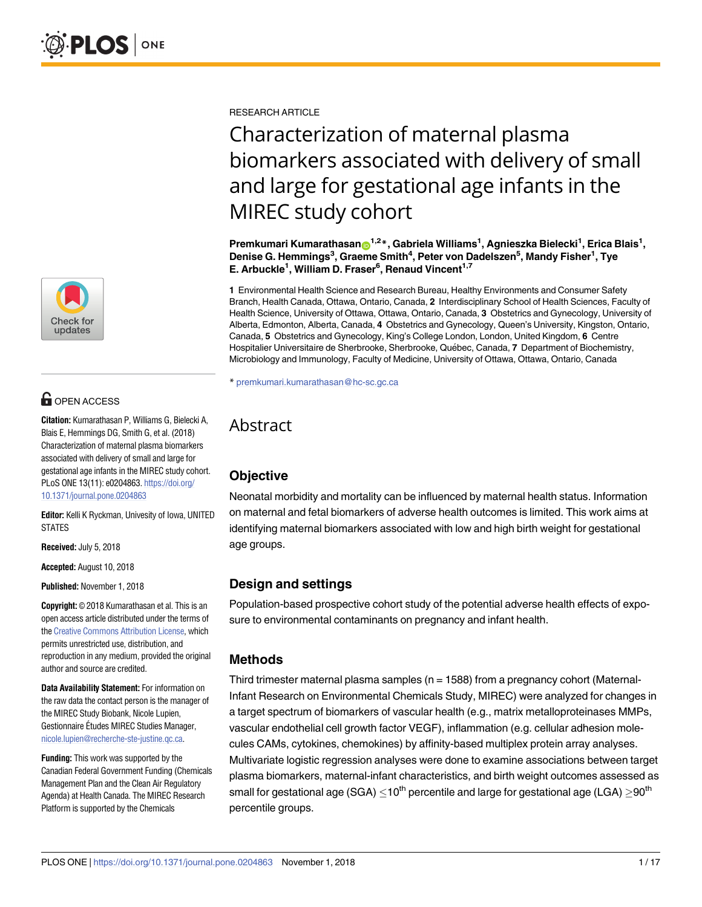

# **OPEN ACCESS**

**Citation:** Kumarathasan P, Williams G, Bielecki A, Blais E, Hemmings DG, Smith G, et al. (2018) Characterization of maternal plasma biomarkers associated with delivery of small and large for gestational age infants in the MIREC study cohort. PLoS ONE 13(11): e0204863. [https://doi.org/](https://doi.org/10.1371/journal.pone.0204863) [10.1371/journal.pone.0204863](https://doi.org/10.1371/journal.pone.0204863)

**Editor:** Kelli K Ryckman, Univesity of Iowa, UNITED STATES

**Received:** July 5, 2018

**Accepted:** August 10, 2018

**Published:** November 1, 2018

**Copyright:** © 2018 Kumarathasan et al. This is an open access article distributed under the terms of the Creative [Commons](http://creativecommons.org/licenses/by/4.0/) Attribution License, which permits unrestricted use, distribution, and reproduction in any medium, provided the original author and source are credited.

**Data Availability Statement:** For information on the raw data the contact person is the manager of the MIREC Study Biobank, Nicole Lupien, Gestionnaire Études MIREC Studies Manager, [nicole.lupien@recherche-ste-justine.qc.ca](mailto:nicole.lupien@recherche-ste-justine.qc.ca).

**Funding:** This work was supported by the Canadian Federal Government Funding (Chemicals Management Plan and the Clean Air Regulatory Agenda) at Health Canada. The MIREC Research Platform is supported by the Chemicals

RESEARCH ARTICLE

# Characterization of maternal plasma biomarkers associated with delivery of small and large for gestational age infants in the MIREC study cohort

 $\mathsf{P}$ remkumari Kumarathasan $\mathsf{D}^{1,2}$ \*, Gabriela Williams<sup>1</sup>, Agnieszka Bielecki<sup>1</sup>, Erica Blais<sup>1</sup>, **Denise G. Hemmings3 , Graeme Smith4 , Peter von Dadelszen5 , Mandy Fisher1 , Tye E. Arbuckle1 , William D. Fraser6 , Renaud Vincent1,7**

**1** Environmental Health Science and Research Bureau, Healthy Environments and Consumer Safety Branch, Health Canada, Ottawa, Ontario, Canada, **2** Interdisciplinary School of Health Sciences, Faculty of Health Science, University of Ottawa, Ottawa, Ontario, Canada, **3** Obstetrics and Gynecology, University of Alberta, Edmonton, Alberta, Canada, **4** Obstetrics and Gynecology, Queen's University, Kingston, Ontario, Canada, **5** Obstetrics and Gynecology, King's College London, London, United Kingdom, **6** Centre Hospitalier Universitaire de Sherbrooke, Sherbrooke, Québec, Canada, 7 Department of Biochemistry, Microbiology and Immunology, Faculty of Medicine, University of Ottawa, Ottawa, Ontario, Canada

\* premkumari.kumarathasan@hc-sc.gc.ca

# Abstract

# **Objective**

Neonatal morbidity and mortality can be influenced by maternal health status. Information on maternal and fetal biomarkers of adverse health outcomes is limited. This work aims at identifying maternal biomarkers associated with low and high birth weight for gestational age groups.

# **Design and settings**

Population-based prospective cohort study of the potential adverse health effects of exposure to environmental contaminants on pregnancy and infant health.

# **Methods**

Third trimester maternal plasma samples ( $n = 1588$ ) from a pregnancy cohort (Maternal-Infant Research on Environmental Chemicals Study, MIREC) were analyzed for changes in a target spectrum of biomarkers of vascular health (e.g., matrix metalloproteinases MMPs, vascular endothelial cell growth factor VEGF), inflammation (e.g. cellular adhesion molecules CAMs, cytokines, chemokines) by affinity-based multiplex protein array analyses. Multivariate logistic regression analyses were done to examine associations between target plasma biomarkers, maternal-infant characteristics, and birth weight outcomes assessed as small for gestational age (SGA)  $\leq$ 10<sup>th</sup> percentile and large for gestational age (LGA)  $\geq$ 90<sup>th</sup> percentile groups.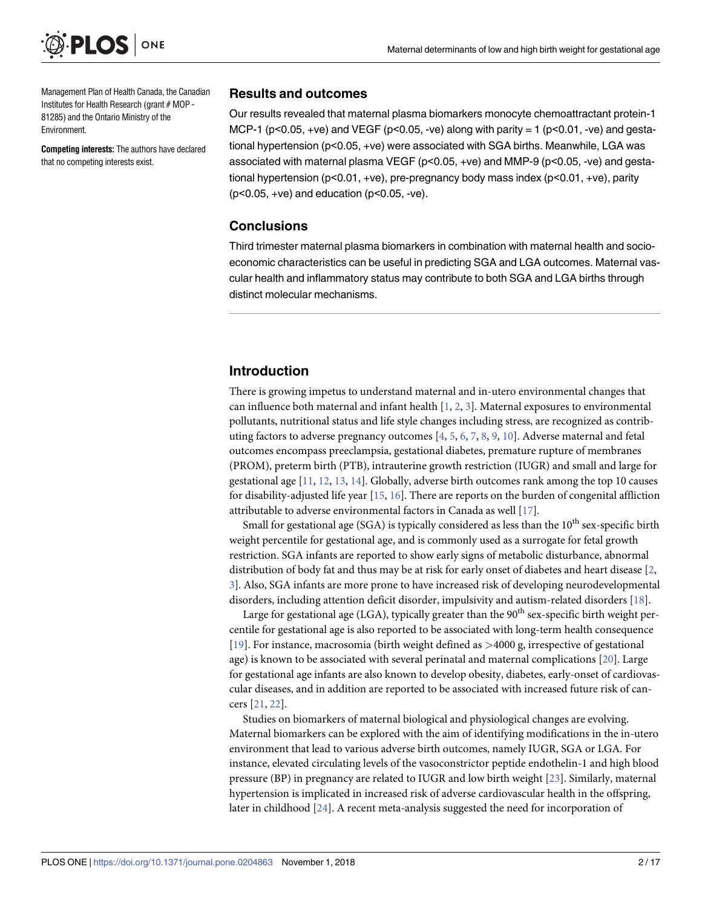<span id="page-1-0"></span>

Management Plan of Health Canada, the Canadian Institutes for Health Research (grant # MOP - 81285) and the Ontario Ministry of the Environment.

**Competing interests:** The authors have declared that no competing interests exist.

#### **Results and outcomes**

Our results revealed that maternal plasma biomarkers monocyte chemoattractant protein-1 MCP-1 ( $p$ <0.05, +ve) and VEGF ( $p$ <0.05, -ve) along with parity = 1 ( $p$ <0.01, -ve) and gestational hypertension (p<0.05, +ve) were associated with SGA births. Meanwhile, LGA was associated with maternal plasma VEGF (p<0.05, +ve) and MMP-9 (p<0.05, -ve) and gestational hypertension (p<0.01, +ve), pre-pregnancy body mass index (p<0.01, +ve), parity  $(p<0.05, +ve)$  and education  $(p<0.05, -ve)$ .

#### **Conclusions**

Third trimester maternal plasma biomarkers in combination with maternal health and socioeconomic characteristics can be useful in predicting SGA and LGA outcomes. Maternal vascular health and inflammatory status may contribute to both SGA and LGA births through distinct molecular mechanisms.

# **Introduction**

There is growing impetus to understand maternal and in-utero environmental changes that can influence both maternal and infant health [\[1](#page-12-0), [2](#page-12-0), [3\]](#page-12-0). Maternal exposures to environmental pollutants, nutritional status and life style changes including stress, are recognized as contributing factors to adverse pregnancy outcomes [\[4,](#page-12-0) [5](#page-13-0), [6](#page-13-0), [7](#page-13-0), [8,](#page-13-0) [9,](#page-13-0) [10\]](#page-13-0). Adverse maternal and fetal outcomes encompass preeclampsia, gestational diabetes, premature rupture of membranes (PROM), preterm birth (PTB), intrauterine growth restriction (IUGR) and small and large for gestational age [[11](#page-13-0), [12](#page-13-0), [13](#page-13-0), [14](#page-13-0)]. Globally, adverse birth outcomes rank among the top 10 causes for disability-adjusted life year [\[15,](#page-13-0) [16](#page-13-0)]. There are reports on the burden of congenital affliction attributable to adverse environmental factors in Canada as well [[17](#page-13-0)].

Small for gestational age (SGA) is typically considered as less than the  $10^{th}$  sex-specific birth weight percentile for gestational age, and is commonly used as a surrogate for fetal growth restriction. SGA infants are reported to show early signs of metabolic disturbance, abnormal distribution of body fat and thus may be at risk for early onset of diabetes and heart disease [[2,](#page-12-0) [3\]](#page-12-0). Also, SGA infants are more prone to have increased risk of developing neurodevelopmental disorders, including attention deficit disorder, impulsivity and autism-related disorders [[18](#page-13-0)].

Large for gestational age (LGA), typically greater than the  $90<sup>th</sup>$  sex-specific birth weight percentile for gestational age is also reported to be associated with long-term health consequence [\[19\]](#page-13-0). For instance, macrosomia (birth weight defined as *>*4000 g, irrespective of gestational age) is known to be associated with several perinatal and maternal complications [[20](#page-13-0)]. Large for gestational age infants are also known to develop obesity, diabetes, early-onset of cardiovascular diseases, and in addition are reported to be associated with increased future risk of cancers [\[21,](#page-13-0) [22\]](#page-13-0).

Studies on biomarkers of maternal biological and physiological changes are evolving. Maternal biomarkers can be explored with the aim of identifying modifications in the in-utero environment that lead to various adverse birth outcomes, namely IUGR, SGA or LGA. For instance, elevated circulating levels of the vasoconstrictor peptide endothelin-1 and high blood pressure (BP) in pregnancy are related to IUGR and low birth weight [\[23\]](#page-13-0). Similarly, maternal hypertension is implicated in increased risk of adverse cardiovascular health in the offspring, later in childhood [\[24\]](#page-13-0). A recent meta-analysis suggested the need for incorporation of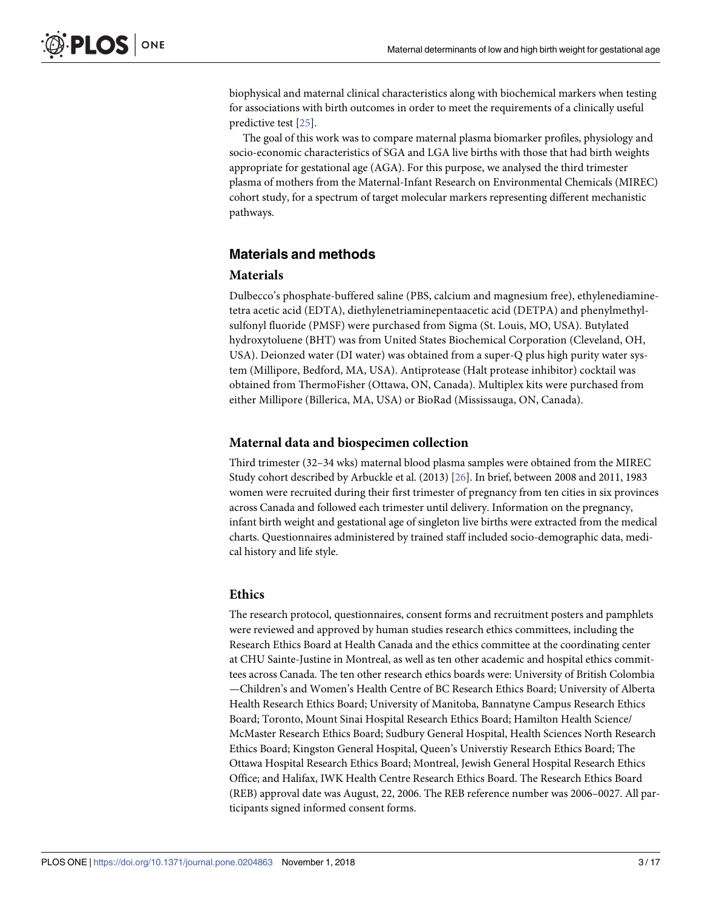<span id="page-2-0"></span>biophysical and maternal clinical characteristics along with biochemical markers when testing for associations with birth outcomes in order to meet the requirements of a clinically useful predictive test [\[25\]](#page-14-0).

The goal of this work was to compare maternal plasma biomarker profiles, physiology and socio-economic characteristics of SGA and LGA live births with those that had birth weights appropriate for gestational age (AGA). For this purpose, we analysed the third trimester plasma of mothers from the Maternal-Infant Research on Environmental Chemicals (MIREC) cohort study, for a spectrum of target molecular markers representing different mechanistic pathways.

# **Materials and methods**

#### **Materials**

Dulbecco's phosphate-buffered saline (PBS, calcium and magnesium free), ethylenediaminetetra acetic acid (EDTA), diethylenetriaminepentaacetic acid (DETPA) and phenylmethylsulfonyl fluoride (PMSF) were purchased from Sigma (St. Louis, MO, USA). Butylated hydroxytoluene (BHT) was from United States Biochemical Corporation (Cleveland, OH, USA). Deionzed water (DI water) was obtained from a super-Q plus high purity water system (Millipore, Bedford, MA, USA). Antiprotease (Halt protease inhibitor) cocktail was obtained from ThermoFisher (Ottawa, ON, Canada). Multiplex kits were purchased from either Millipore (Billerica, MA, USA) or BioRad (Mississauga, ON, Canada).

#### **Maternal data and biospecimen collection**

Third trimester (32–34 wks) maternal blood plasma samples were obtained from the MIREC Study cohort described by Arbuckle et al. (2013) [\[26\]](#page-14-0). In brief, between 2008 and 2011, 1983 women were recruited during their first trimester of pregnancy from ten cities in six provinces across Canada and followed each trimester until delivery. Information on the pregnancy, infant birth weight and gestational age of singleton live births were extracted from the medical charts. Questionnaires administered by trained staff included socio-demographic data, medical history and life style.

#### **Ethics**

The research protocol, questionnaires, consent forms and recruitment posters and pamphlets were reviewed and approved by human studies research ethics committees, including the Research Ethics Board at Health Canada and the ethics committee at the coordinating center at CHU Sainte-Justine in Montreal, as well as ten other academic and hospital ethics committees across Canada. The ten other research ethics boards were: University of British Colombia —Children's and Women's Health Centre of BC Research Ethics Board; University of Alberta Health Research Ethics Board; University of Manitoba, Bannatyne Campus Research Ethics Board; Toronto, Mount Sinai Hospital Research Ethics Board; Hamilton Health Science/ McMaster Research Ethics Board; Sudbury General Hospital, Health Sciences North Research Ethics Board; Kingston General Hospital, Queen's Universtiy Research Ethics Board; The Ottawa Hospital Research Ethics Board; Montreal, Jewish General Hospital Research Ethics Office; and Halifax, IWK Health Centre Research Ethics Board. The Research Ethics Board (REB) approval date was August, 22, 2006. The REB reference number was 2006–0027. All participants signed informed consent forms.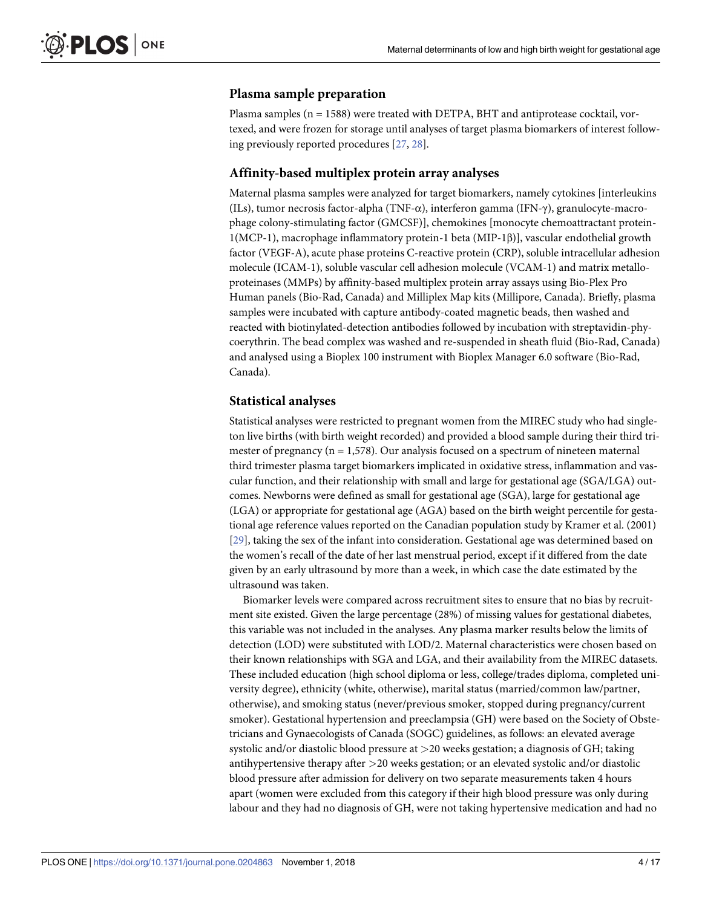#### <span id="page-3-0"></span>**Plasma sample preparation**

Plasma samples ( $n = 1588$ ) were treated with DETPA, BHT and antiprotease cocktail, vortexed, and were frozen for storage until analyses of target plasma biomarkers of interest following previously reported procedures [\[27,](#page-14-0) [28\]](#page-14-0).

# **Affinity-based multiplex protein array analyses**

Maternal plasma samples were analyzed for target biomarkers, namely cytokines [interleukins (ILs), tumor necrosis factor-alpha (TNF-α), interferon gamma (IFN-γ), granulocyte-macrophage colony-stimulating factor (GMCSF)], chemokines [monocyte chemoattractant protein-1(MCP-1), macrophage inflammatory protein-1 beta (MIP-1β)], vascular endothelial growth factor (VEGF-A), acute phase proteins C-reactive protein (CRP), soluble intracellular adhesion molecule (ICAM-1), soluble vascular cell adhesion molecule (VCAM-1) and matrix metalloproteinases (MMPs) by affinity-based multiplex protein array assays using Bio-Plex Pro Human panels (Bio-Rad, Canada) and Milliplex Map kits (Millipore, Canada). Briefly, plasma samples were incubated with capture antibody-coated magnetic beads, then washed and reacted with biotinylated-detection antibodies followed by incubation with streptavidin-phycoerythrin. The bead complex was washed and re-suspended in sheath fluid (Bio-Rad, Canada) and analysed using a Bioplex 100 instrument with Bioplex Manager 6.0 software (Bio-Rad, Canada).

#### **Statistical analyses**

Statistical analyses were restricted to pregnant women from the MIREC study who had singleton live births (with birth weight recorded) and provided a blood sample during their third trimester of pregnancy ( $n = 1,578$ ). Our analysis focused on a spectrum of nineteen maternal third trimester plasma target biomarkers implicated in oxidative stress, inflammation and vascular function, and their relationship with small and large for gestational age (SGA/LGA) outcomes. Newborns were defined as small for gestational age (SGA), large for gestational age (LGA) or appropriate for gestational age (AGA) based on the birth weight percentile for gestational age reference values reported on the Canadian population study by Kramer et al. (2001) [\[29\]](#page-14-0), taking the sex of the infant into consideration. Gestational age was determined based on the women's recall of the date of her last menstrual period, except if it differed from the date given by an early ultrasound by more than a week, in which case the date estimated by the ultrasound was taken.

Biomarker levels were compared across recruitment sites to ensure that no bias by recruitment site existed. Given the large percentage (28%) of missing values for gestational diabetes, this variable was not included in the analyses. Any plasma marker results below the limits of detection (LOD) were substituted with LOD/2. Maternal characteristics were chosen based on their known relationships with SGA and LGA, and their availability from the MIREC datasets. These included education (high school diploma or less, college/trades diploma, completed university degree), ethnicity (white, otherwise), marital status (married/common law/partner, otherwise), and smoking status (never/previous smoker, stopped during pregnancy/current smoker). Gestational hypertension and preeclampsia (GH) were based on the Society of Obstetricians and Gynaecologists of Canada (SOGC) guidelines, as follows: an elevated average systolic and/or diastolic blood pressure at *>*20 weeks gestation; a diagnosis of GH; taking antihypertensive therapy after *>*20 weeks gestation; or an elevated systolic and/or diastolic blood pressure after admission for delivery on two separate measurements taken 4 hours apart (women were excluded from this category if their high blood pressure was only during labour and they had no diagnosis of GH, were not taking hypertensive medication and had no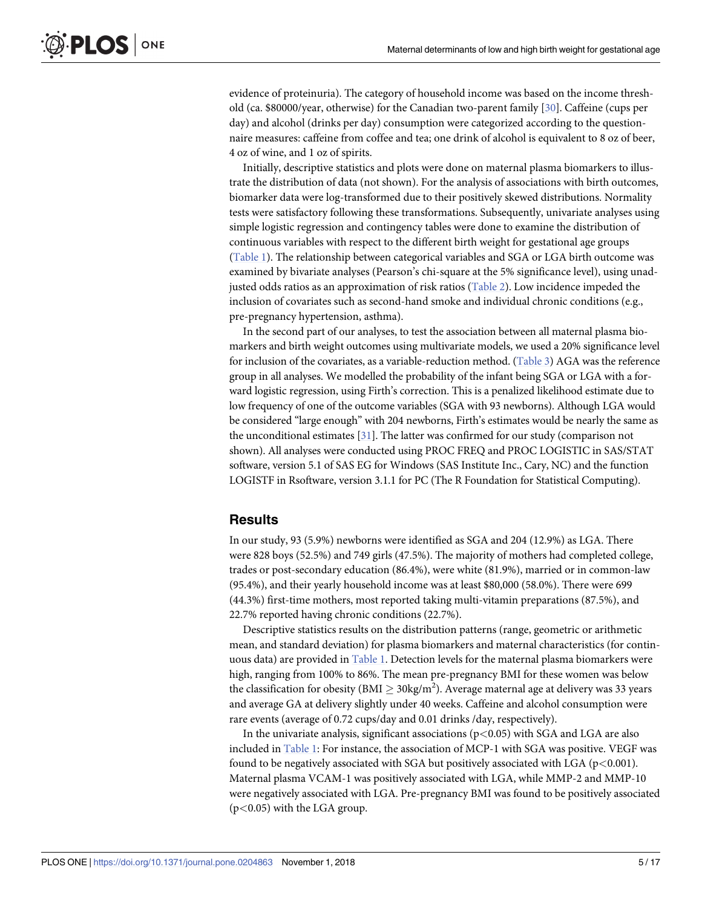<span id="page-4-0"></span>evidence of proteinuria). The category of household income was based on the income threshold (ca. \$80000/year, otherwise) for the Canadian two-parent family [\[30\]](#page-14-0). Caffeine (cups per day) and alcohol (drinks per day) consumption were categorized according to the questionnaire measures: caffeine from coffee and tea; one drink of alcohol is equivalent to 8 oz of beer, 4 oz of wine, and 1 oz of spirits.

Initially, descriptive statistics and plots were done on maternal plasma biomarkers to illustrate the distribution of data (not shown). For the analysis of associations with birth outcomes, biomarker data were log-transformed due to their positively skewed distributions. Normality tests were satisfactory following these transformations. Subsequently, univariate analyses using simple logistic regression and contingency tables were done to examine the distribution of continuous variables with respect to the different birth weight for gestational age groups [\(Table](#page-5-0) 1). The relationship between categorical variables and SGA or LGA birth outcome was examined by bivariate analyses (Pearson's chi-square at the 5% significance level), using unadjusted odds ratios as an approximation of risk ratios [\(Table](#page-6-0) 2). Low incidence impeded the inclusion of covariates such as second-hand smoke and individual chronic conditions (e.g., pre-pregnancy hypertension, asthma).

In the second part of our analyses, to test the association between all maternal plasma biomarkers and birth weight outcomes using multivariate models, we used a 20% significance level for inclusion of the covariates, as a variable-reduction method. ([Table](#page-8-0) 3) AGA was the reference group in all analyses. We modelled the probability of the infant being SGA or LGA with a forward logistic regression, using Firth's correction. This is a penalized likelihood estimate due to low frequency of one of the outcome variables (SGA with 93 newborns). Although LGA would be considered "large enough" with 204 newborns, Firth's estimates would be nearly the same as the unconditional estimates [[31](#page-14-0)]. The latter was confirmed for our study (comparison not shown). All analyses were conducted using PROC FREQ and PROC LOGISTIC in SAS/STAT software, version 5.1 of SAS EG for Windows (SAS Institute Inc., Cary, NC) and the function LOGISTF in Rsoftware, version 3.1.1 for PC (The R Foundation for Statistical Computing).

#### **Results**

In our study, 93 (5.9%) newborns were identified as SGA and 204 (12.9%) as LGA. There were 828 boys (52.5%) and 749 girls (47.5%). The majority of mothers had completed college, trades or post-secondary education (86.4%), were white (81.9%), married or in common-law (95.4%), and their yearly household income was at least \$80,000 (58.0%). There were 699 (44.3%) first-time mothers, most reported taking multi-vitamin preparations (87.5%), and 22.7% reported having chronic conditions (22.7%).

Descriptive statistics results on the distribution patterns (range, geometric or arithmetic mean, and standard deviation) for plasma biomarkers and maternal characteristics (for continuous data) are provided in [Table](#page-5-0) 1. Detection levels for the maternal plasma biomarkers were high, ranging from 100% to 86%. The mean pre-pregnancy BMI for these women was below the classification for obesity (BMI  $\geq$  30kg/m<sup>2</sup>). Average maternal age at delivery was 33 years and average GA at delivery slightly under 40 weeks. Caffeine and alcohol consumption were rare events (average of 0.72 cups/day and 0.01 drinks /day, respectively).

In the univariate analysis, significant associations (p*<*0.05) with SGA and LGA are also included in [Table](#page-5-0) 1: For instance, the association of MCP-1 with SGA was positive. VEGF was found to be negatively associated with SGA but positively associated with LGA (p*<*0.001). Maternal plasma VCAM-1 was positively associated with LGA, while MMP-2 and MMP-10 were negatively associated with LGA. Pre-pregnancy BMI was found to be positively associated (p*<*0.05) with the LGA group.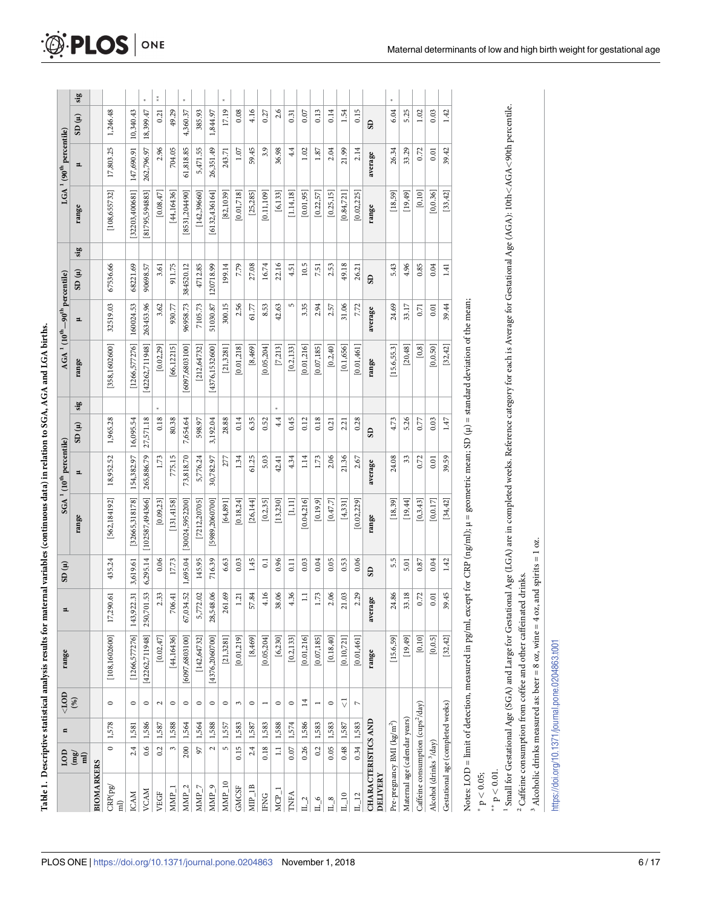<span id="page-5-0"></span>

|                                               | TOD                         | E              | QCD              | range           | ᆗ                          | $(1)$ GS        |                                       | SGA <sup>1</sup> (10 <sup>th</sup> percentile) |           |                         |                 | $AGA^1(10^{th}-90^{th}$ percentile) |                 |                         |                | $LGA1$ (90 <sup>th</sup> percentile) |           |                     |
|-----------------------------------------------|-----------------------------|----------------|------------------|-----------------|----------------------------|-----------------|---------------------------------------|------------------------------------------------|-----------|-------------------------|-----------------|-------------------------------------|-----------------|-------------------------|----------------|--------------------------------------|-----------|---------------------|
|                                               | $\lim\limits_{m\downarrow}$ |                | (%)              |                 |                            |                 | range                                 | ᆗ                                              | $SD(\mu)$ | $\overline{\mathbf{e}}$ | range           | ᆗ                                   | $SD(\mu)$       | $\overline{\mathbf{a}}$ | range          | ᆋ                                    | $SD(\mu)$ | $\ddot{\mathbf{s}}$ |
| <b>BIOMARKERS</b>                             |                             |                |                  |                 |                            |                 |                                       |                                                |           |                         |                 |                                     |                 |                         |                |                                      |           |                     |
| $\mathrm{CRP(pg} /$<br>$\widehat{\rm n}$      | $\circ$                     | 1,578          | $\circ$          | [108, 1602600]  | $\overline{6}$<br>17,290.  | 435.24          | 562,184192]                           | 18,952.52                                      | 1,965.28  |                         | [358, 1602600]  | 32519.03                            | 67536.66        |                         | [108, 655732]  | 17,803.25                            | 1,246.48  |                     |
| <b>ICAM</b>                                   | 2.4                         | 1,581          | $\circ$          | [1266, 577276]  | $\overline{31}$<br>143,922 | 3,619.61        | [32665,318178]                        | 154,382.97                                     | 16,095.54 |                         | [1266, 577276]  | 160024.53                           | 68221.69        |                         | [32203,400681] | 147,690.91                           | 10,340.43 |                     |
| <b>VCAM</b>                                   | 0.6                         | 1,586          | $\circ$          | [42262,711948]  | 53<br>250,701              | 6,295.14        | [102587,494366]                       | 265,886.79                                     | 27,571.18 |                         | [42262,711948]  | 263453.96                           | 90698.57        |                         | 81795,594883]  | 262,796.97                           | 18,399.47 |                     |
| VEGF                                          | 0.2                         | 1,587          | $\mathbf{\sim}$  | [0.02, 47]      | 33                         | 0.06            | [0.09, 23]                            | 1.73                                           | 0.18      | ×                       | [0.02, 29]      | 3.62                                | 3.61            |                         | [0.08, 47]     | 2.96                                 | 0.21      | $*$                 |
| $MMP_1$                                       | 3                           | 1,588          | $\circ$          | [44, 16436]     | $\ddot{=}$<br>706.         | 17.73           | [131, 4158]                           | 775.15                                         | 80.38     |                         | 66,12215        | 930.77                              | 911.75          |                         | [44,16436]     | 704.05                               | 49.29     |                     |
| $MMP_2$                                       | 200                         | 1,564          | $\circ$          | [6097,6803100]  | 52<br>67,034.              | 1,695.04        | [30024,5952200]                       | 73,818.70                                      | 7,654.64  |                         | 6097,6803100]   | 96958.73                            | 384520.12       |                         | 8531,204490]   | 61,818.85                            | 4,360.37  |                     |
| $MMP_7$                                       | 56                          | 1,564          | $\circ$          | [142, 64732]    | 02<br>5,772.               | 145.95          | [7212, 20705]                         | 5,776.24                                       | 598.97    |                         | 212,64732       | 7105.73                             | 4712.85         |                         | [142,39660]    | 5,471.55                             | 385.93    |                     |
| MMP <sub>-9</sub>                             | $\sim$                      | 1,588          | $\circ$          | [4376, 2060700] | $\frac{8}{2}$<br>28,548.   | 716.39          | 5989,2060700]                         | 30,782.97                                      | 3,192.04  |                         | [4376, 1532600] | 51030.87                            | 120718.99       |                         | [6132, 436164] | 26,351.49                            | 1,844.97  |                     |
| MMP_10                                        | LO <sub>1</sub>             | 1,557          | $\circ$          | [21,3281]       | 69<br>261                  | 6.63            | [64, 891]                             | 277                                            | 28.88     |                         | [21, 3281]      | 300.15                              | 199.14          |                         | [82, 1039]     | 243.71                               | 17.19     |                     |
| <b>GMCSF</b>                                  | 0.15                        | 1,583          | 3                | [0.01, 219]     | $\overline{21}$            | 0.03            | 0.18,24                               | 1.34                                           | 0.14      |                         | [0.01, 218]     | 2.56                                | 7.79            |                         | [0.01, 718]    | 1.07                                 | 0.08      |                     |
| MIP_1B                                        | 2.4                         | 1,587          | $\circ$          | [8,469]         | 84<br>57.                  | 1.45            | [26, 144]                             | 61.25                                          | 6.35      |                         | [8, 469]        | 61.77                               | 27.08           |                         | [25, 285]      | 59.45                                | 4.16      |                     |
| IFNG                                          | 0.18                        | 1,583          |                  | [0.05, 204]     | $\frac{16}{1}$<br>4        | $\overline{0}$  | [0.2, 35]                             | 5.03                                           | 0.52      |                         | [0.05, 204]     | 8.53                                | 16.74           |                         | [0.11, 109]    | 3.9                                  | 0.27      |                     |
| MCP                                           | $\Xi$                       | 1,588          | $\circ$          | [6,230]         | $\frac{8}{2}$<br>38.       | 0.96            | [13,230]                              | 42.41                                          | 4.4       |                         | [7, 213]        | 42.63                               | 22.16           |                         | [6, 133]       | 36.98                                | 2.6       |                     |
| TNFA                                          | 0.07                        | 1,574          | $\circ$          | [0.2, 133]      | 36<br>4                    | 0.11            | $\begin{bmatrix} 1, 11 \end{bmatrix}$ | 4.34                                           | 0.45      |                         | [0.2, 133]      | S                                   | 4.51            |                         | [1.14, 18]     | 4.4                                  | 0.31      |                     |
| $\frac{2}{3}$                                 | 0.26                        | 1,586          | $\overline{14}$  | [0.01, 216]     | $\Xi$                      | 0.03            | [0.04, 216]                           | 1.14                                           | 0.12      |                         | [0.01, 216]     | 3.35                                | 10.5            |                         | [0.01, 95]     | 1.02                                 | 0.07      |                     |
| $\overline{1}$                                | 0.2                         | 1,583          |                  | [0.07, 185]     | 73                         | 0.04            | [0.19, 9]                             | 1.73                                           | 0.18      |                         | [0.07, 185]     | 2.94                                | 7.51            |                         | [0.22, 57]     | 1.87                                 | 0.13      |                     |
| $\overline{L}$ 8                              | 0.05                        | 1,583          | $\circ$          | [0.18, 40]      | 06<br>$\mathbf{u}$         | 0.05            | [0.47, 7]                             | 2.06                                           | 0.21      |                         | [0.2, 40]       | 2.57                                | 2.53            |                         | [0.25, 15]     | 2.04                                 | 0.14      |                     |
| 10                                            | 0.48                        | 1,587          | $\triangledown$  | [0.10, 721]     | 03<br>$\overline{21}$      | 0.53            | [4,331]                               | 21.36                                          | 2.21      |                         | [0.1, 656]      | 31.06                               | 49.18           |                         | [0.84, 721]    | 21.99                                | 1.54      |                     |
| L <sub>12</sub>                               |                             | $0.34$   1,583 | $\triangleright$ | [0.01, 461]     | 29<br>$\mathcal{L}$        | 0.06            | [0.02, 229]                           | 2.67                                           | 0.28      |                         | [0.01, 461]     | 7.72                                | 26.21           |                         | [0.02, 225]    | 2.14                                 | 0.15      |                     |
| CHARACTERISTICS AND<br><b>DELIVERY</b>        |                             |                |                  | range           | average                    | SD <sub>1</sub> | range                                 | average                                        | SD        |                         | range           | average                             | SD <sub>1</sub> |                         | range          | average                              | <b>GS</b> |                     |
| Pre-pregnancy BMI $({\rm kg/m^2})$            |                             |                |                  | [15.6, 59]      | 86<br>24.                  | rú.<br>ທ່       | [18, 39]                              | 24.08                                          | 4.73      |                         | [15.6, 55.3]    | 24.69                               | 5.43            |                         | [18, 59]       | 26.34                                | 6.04      |                     |
| Maternal age (calendar years)                 |                             |                |                  | [19, 49]        | 33.18                      | 5.01            | [19, 44]                              | 33                                             | 5.26      |                         | [20, 48]        | 33.17                               | 4.96            |                         | [19, 49]       | 33.29                                | 5.25      |                     |
| Caffeine consumption (cups <sup>2</sup> /day) |                             |                |                  | [0, 10]         | 25<br>$\circ$              | 0.87            | [0, 3.43]                             | 0.72                                           | 0.77      |                         | [0, 8]          | 0.71                                | 0.85            |                         | [0, 10]        | 0.72                                 | 1.02      |                     |
| Alcohol (drinks <sup>3</sup> /day)            |                             |                |                  | [0, 0.5]        | $\overline{0}$<br>$\circ$  | 0.04            | [0,0.17]                              | 0.01                                           | 0.03      |                         | [0,0.50]        | 0.01                                | 0.04            |                         | [0, 0.36]      | 0.01                                 | 0.03      |                     |
| Gestational age (completed weeks)             |                             |                |                  | [32, 42]        | 45<br>39.                  | 1.42            | [34, 42]                              | 39.59                                          | 1.47      |                         | [32, 42]        | 39.44                               | 1.41            |                         | [33, 42]       | 39.42                                | 1.42      |                     |
| t<br>T                                        |                             |                |                  |                 |                            | $\frac{1}{2}$   |                                       |                                                |           |                         |                 |                                     |                 |                         |                |                                      |           |                     |

Table 1. Descriptive statistical analysis results for maternal variables (continuous data) in relation to SGA, AGA and LGA births. [Table](#page-4-0) 1. Descriptive statistical analysis results for maternal variables (continuous data) in relation to SGA, AGA and LGA births. Notes: LOD = limit of detection, measured in pg/ml, except for CRP (ng/ml); µ = geometric mean; SD (µ) = standard deviation of the mean; Notes: LOD = limit of detection, measured in pg/ml, except for CRP (ng/ml); μ = geometric mean; SD (μ) = standard deviation of the mean;

�p *<* 0.05;

 $*$   $p < 0.01$ .

 Small for Gestational Age (SGA) and Large for Gestational Age (LGA) are in completed weeks. Reference category for each is Average for Gestational Age (AGA): 10th *<*AG A *<*90th percentile.  $^2$  Caffeine consumption from coffee and other caffeinated drinks. Caffeine consumption from coffee and other caffeinated drinks.

 $^3$  Alcoholic drinks measured as: beer = 8 oz, wine = 4 oz, and spirits = 1 oz. Alcoholic drinks measured as: beer = 8 oz, wine = 4 oz, and spirits = 1 oz.

https://doi.org/10.1371/journal.pone.0204863.t001 <https://doi.org/10.1371/journal.pone.0204863.t001>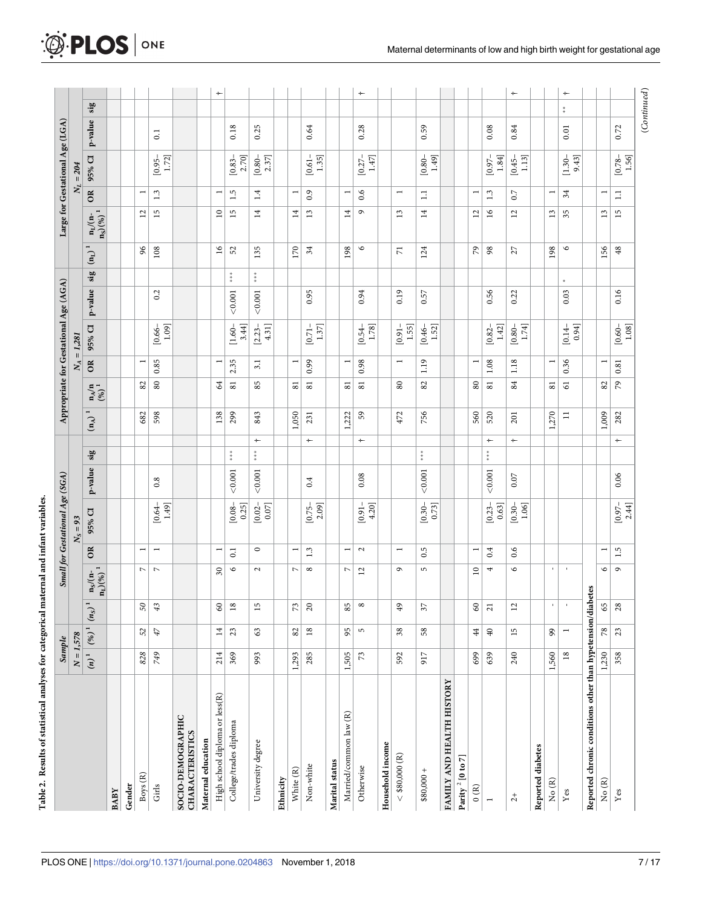<span id="page-6-0"></span>

|                                                             | $N = 1,578$                  | Sample                       |                   |                                                                                    |                          | Small for Gestational Age (SGA)<br>$N_S = 93$ |            |                                            |                                             |                                    |                          | Appropriate for Gestational Age (AGA)<br>$N_A = 1,281$ |            |                         |                                     |                                                                            | $N_L$                    | Large for Gestational Age (LGA)<br>$= 204$ |                |                         |  |
|-------------------------------------------------------------|------------------------------|------------------------------|-------------------|------------------------------------------------------------------------------------|--------------------------|-----------------------------------------------|------------|--------------------------------------------|---------------------------------------------|------------------------------------|--------------------------|--------------------------------------------------------|------------|-------------------------|-------------------------------------|----------------------------------------------------------------------------|--------------------------|--------------------------------------------|----------------|-------------------------|--|
|                                                             | $\left  \frac{1}{2} \right $ | $\left(\frac{o}{o}\right)^1$ | $(n_S)^{1}$       | $\mathbf{n}_\mathrm{S}/(\mathbf{n} \mathrm{-} \\ \mathbf{n}_\mathrm{L}) (\%)^{-1}$ | õ                        | 95% CI                                        | p-value    | $\overline{\text{sig}}$                    | $\left(\mathbf{n}_{\mathrm{A}}\right)^{-1}$ | $\frac{n_{A}/n}{(%)}$ <sup>1</sup> | OR                       | 95% CI                                                 | p-value    | $\overline{\text{sig}}$ | $\left(n_{\mathrm{L}}\right)^{\,1}$ | $\mathbf{n}_\mathrm{L}/(\mathbf{n} \cdot \mathbf{n}_\mathrm{S}) (\%)^{-1}$ | $\alpha$                 | 95% CI                                     | p-value        | $\overline{\text{sig}}$ |  |
| <b>BABY</b>                                                 |                              |                              |                   |                                                                                    |                          |                                               |            |                                            |                                             |                                    |                          |                                                        |            |                         |                                     |                                                                            |                          |                                            |                |                         |  |
| Gender                                                      |                              |                              |                   |                                                                                    |                          |                                               |            |                                            |                                             |                                    |                          |                                                        |            |                         |                                     |                                                                            |                          |                                            |                |                         |  |
| Boys (R)                                                    | 828                          | 52                           | 50                | $\mathrel{\scriptstyle\sim}$                                                       | $\overline{\phantom{0}}$ |                                               |            |                                            | 682                                         | 82                                 | $\overline{\phantom{0}}$ |                                                        |            |                         | 96                                  | $\overline{12}$                                                            | $\overline{\phantom{0}}$ |                                            |                |                         |  |
| Girls                                                       | 749                          | $47\,$                       | $43\,$            | $\overline{ }$                                                                     | $\overline{\phantom{0}}$ | $[0.64 -$<br>1.49                             | 0.8        |                                            | 598                                         | 80                                 | 0.85                     | $[0.66 -$<br>1.09]                                     | 0.2        |                         | 108                                 | 15                                                                         | $\mathbf{r}_3$           | 1.72]<br>$[0.95 -$                         | $\overline{c}$ |                         |  |
| SOCIO-DEMOGRAPHIC<br><b>CHARACTERISTICS</b>                 |                              |                              |                   |                                                                                    |                          |                                               |            |                                            |                                             |                                    |                          |                                                        |            |                         |                                     |                                                                            |                          |                                            |                |                         |  |
| Maternal education                                          |                              |                              |                   |                                                                                    |                          |                                               |            |                                            |                                             |                                    |                          |                                                        |            |                         |                                     |                                                                            |                          |                                            |                |                         |  |
| High school diploma or less(R)                              | 214                          | $\overline{1}$               | $\mbox{6}$        | $\overline{30}$                                                                    |                          |                                               |            |                                            | 138                                         | 64                                 | $\overline{\phantom{0}}$ |                                                        |            |                         | $\overline{16}$                     | $\overline{10}$                                                            |                          |                                            |                | $\leftarrow$            |  |
| College/trades diploma                                      | 369                          | 23                           | $18\,$            | $\circ$                                                                            | $\Xi$                    | $[0.08 -$<br>0.25                             | $<\!0.001$ | $**$                                       | 299                                         | $\overline{\phantom{0}}$           | 2.35                     | $[1.60 -$<br>3.44]                                     | $<\!0.001$ |                         | 52                                  | 15                                                                         | 1.5                      | 2.70]<br>$[0.83 -$                         | 0.18           |                         |  |
| University degree                                           | 993                          | 63                           | $\overline{15}$   | $\mathbf{c}$                                                                       | $\circ$                  | $\begin{bmatrix} 0.02 - 0.07 \end{bmatrix}$   | < 0.001    |                                            | 843<br>$\qquad \qquad +$                    | 85                                 | $\overline{31}$          | $[2.23 -$<br>4.31]                                     | < 0.001    | $**\n$                  | 135                                 | $\overline{1}$                                                             | 1.4                      | $[0.80 - 2.37]$                            | 0.25           |                         |  |
| Ethnicity                                                   |                              |                              |                   |                                                                                    |                          |                                               |            |                                            |                                             |                                    |                          |                                                        |            |                         |                                     |                                                                            |                          |                                            |                |                         |  |
| White (R)                                                   | 1,293                        | 82                           | 73                | $\sim$                                                                             | Η                        |                                               |            |                                            | 1,050                                       | $\overline{\phantom{0}}$           | ⊣                        |                                                        |            |                         | 170                                 | $\overline{1}$                                                             | Η                        |                                            |                |                         |  |
| Non-white                                                   | 285                          | $18\,$                       | $20\,$            | ${}^{\circ}$                                                                       | 1.3                      | $[0.75 - 2.09]$                               | 0.4        |                                            | 231<br>$\qquad \qquad +$                    | $\overline{81}$                    | 0.99                     | $[0.71 -$<br>1.37]                                     | 0.95       |                         | 34                                  | 13                                                                         | $_{0.9}$                 | $[0.61 -$<br>1.35]                         | 0.64           |                         |  |
| Marital status                                              |                              |                              |                   |                                                                                    |                          |                                               |            |                                            |                                             |                                    |                          |                                                        |            |                         |                                     |                                                                            |                          |                                            |                |                         |  |
| Married/common law (R)                                      | 1,505                        | 95                           | 85                | $\overline{ }$                                                                     | ī                        |                                               |            |                                            | 1,222                                       | $\overline{\phantom{0}}$           | $\overline{\phantom{0}}$ |                                                        |            |                         | 198                                 | $\overline{1}$                                                             | $\overline{ }$           |                                            |                |                         |  |
| Otherwise                                                   | $\mathbb{Z}$                 | $\overline{5}$               | ${}^{\circ}$      | $\overline{12}$                                                                    | $\sim$                   | $[0.91 -$<br>4.20]                            | 0.08       |                                            | 59<br>$\leftarrow$                          | $\overline{81}$                    | 0.98                     | $[0.54 - 1.78]$                                        | 0.94       |                         | $\circ$                             | $\circ$                                                                    | 0.6                      | $[0.27 -$<br>$1.47$ ]                      | 0.28           | $\leftarrow$            |  |
| Household income                                            |                              |                              |                   |                                                                                    |                          |                                               |            |                                            |                                             |                                    |                          |                                                        |            |                         |                                     |                                                                            |                          |                                            |                |                         |  |
| $<$ \$80,000 (R)                                            | 592                          | $38\,$                       | $^{49}$           | ٥                                                                                  |                          |                                               |            |                                            | 472                                         | 80                                 | $\overline{\phantom{0}}$ | $[0.91 -$<br>1.55]                                     | 0.19       |                         | $\overline{r}$                      | $\frac{3}{2}$                                                              | $\overline{ }$           |                                            |                |                         |  |
| $$80,000 +$                                                 | 917                          | $58\,$                       | 37                | S                                                                                  | 0.5                      | $[0.30 -$<br>0.73]                            | < 0.001    | $\begin{array}{l} * \\ * \\ * \end{array}$ | 756                                         | 82                                 | $\frac{119}{2}$          | $[0.46 -$<br>1.52                                      | 0.57       |                         | 124                                 | $\overline{14}$                                                            | Ξ                        | $[0.80-$<br>1.49]                          | 0.59           |                         |  |
| FAMILY AND HEALTH HISTORY                                   |                              |                              |                   |                                                                                    |                          |                                               |            |                                            |                                             |                                    |                          |                                                        |            |                         |                                     |                                                                            |                          |                                            |                |                         |  |
| Parity $2$ [0 to 7]                                         |                              |                              |                   |                                                                                    |                          |                                               |            |                                            |                                             |                                    |                          |                                                        |            |                         |                                     |                                                                            |                          |                                            |                |                         |  |
| $0\left( \mathbb{R}\right)$                                 | 699                          | 4                            | $\boldsymbol{60}$ | $\overline{10}$                                                                    | H                        |                                               |            |                                            | 560                                         | 80                                 | ⊣                        |                                                        |            |                         | 29                                  | $\overline{5}$                                                             | $\overline{\phantom{0}}$ |                                            |                |                         |  |
| $\overline{\phantom{0}}$                                    | 639                          | $\mathsf{Q}$                 | $\overline{21}$   | 4                                                                                  | 0.4                      | $[0.23 -$<br>0.63                             | < 0.001    |                                            | 520<br>$\div$                               | $\overline{8}$                     | $1.08\,$                 | $[0.82 -$<br>1.42]                                     | 0.56       |                         | 98                                  | $\overline{5}$                                                             | 1.3                      | $[0.97 -$<br>1.84]                         | 0.08           |                         |  |
| $\overline{c}$                                              | 240                          | $\overline{15}$              | $\overline{c}$    | $\circ$                                                                            | 0.6                      | $[0.30 - 1.06]$                               | 0.07       |                                            | 201<br>$\leftarrow$                         | 84                                 | 1.18                     | $\left[0.80 - \right.$<br>$1.74]$                      | 0.22       |                         | 27                                  | $\overline{12}$                                                            | 0.7                      | 1.13<br>$[0.45 -$                          | 0.84           | $\leftarrow$            |  |
| Reported diabetes                                           |                              |                              |                   |                                                                                    |                          |                                               |            |                                            |                                             |                                    |                          |                                                        |            |                         |                                     |                                                                            |                          |                                            |                |                         |  |
| $\rm No\ (R)$                                               | 1,560                        | 99                           |                   |                                                                                    | $\mathbf{I}$             |                                               |            |                                            | 1,270                                       | $\overline{\mathbf{8}}$            | Η                        |                                                        |            |                         | 198                                 | $\overline{13}$                                                            | T                        |                                            |                |                         |  |
| Yes                                                         | $\overline{18}$              | $\overline{ }$               |                   |                                                                                    | $\mathbf{I}$             |                                               |            |                                            | $\equiv$                                    | $\overline{6}$                     | 0.36                     | $[0.14 -$<br>0.94]                                     | 0.03       | $\ast$                  | $\circ$                             | 35                                                                         | 34                       | $[1.30 -$<br>9.43]                         | 0.01           | $\leftarrow$<br>$*$     |  |
| Reported chronic conditions other than hypetension/diabetes |                              |                              |                   |                                                                                    |                          |                                               |            |                                            |                                             |                                    |                          |                                                        |            |                         |                                     |                                                                            |                          |                                            |                |                         |  |
| $\rm No\ (R)$                                               | 1,230                        | $78\,$                       | 65                | $\circ$                                                                            | T                        |                                               |            |                                            | 1,009                                       | $82\,$                             | Η                        |                                                        |            |                         | 156                                 | 13                                                                         | T                        |                                            |                |                         |  |
| $\mathbf{Yes}$                                              | 358                          | $23\,$                       | $28$              | $\mathbf{\sigma}$                                                                  | 1.5                      | $[0.97 -$<br>2.44]                            | 0.06       |                                            | 282<br>$\leftarrow$                         | $\mathcal{L}$                      | 0.81                     | $\begin{bmatrix} 0.60-\\ 1.08 \end{bmatrix}$           | 0.16       |                         | 48                                  | 15                                                                         | $\Xi$                    | 1.56]<br>$[0.78 -$                         | 0.72           |                         |  |
|                                                             |                              |                              |                   |                                                                                    |                          |                                               |            |                                            |                                             |                                    |                          |                                                        |            |                         |                                     |                                                                            |                          |                                            |                | (Continued)             |  |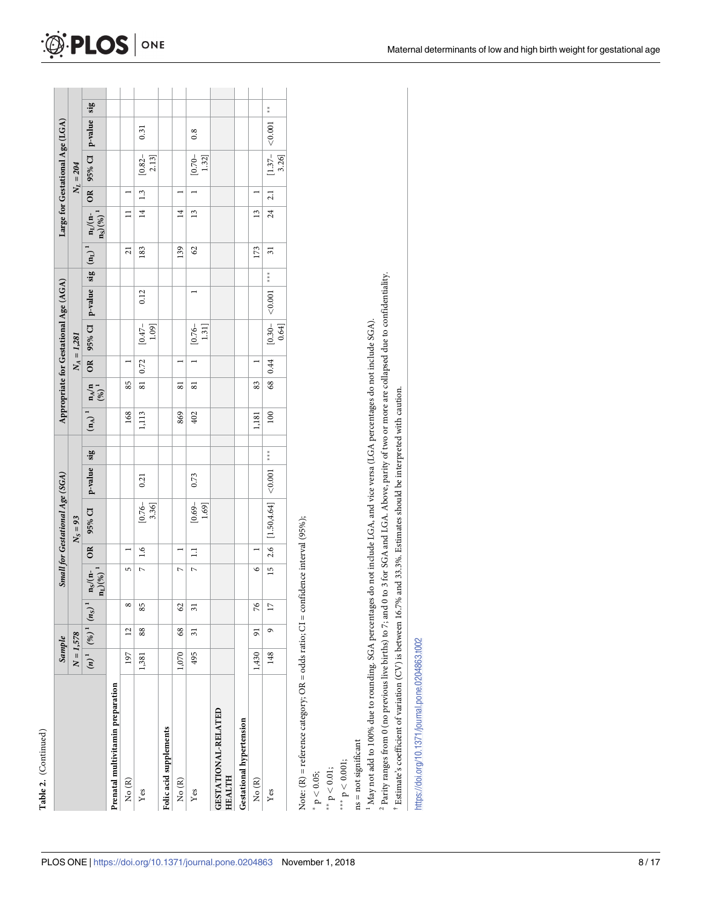| Table 2. (Continued)                                                                                                                                     |       |                          |                 |                                                                           |           |                                 |          |                                            |                                           |                             |                 |                                       |         |                                            |                                        |                                                                               |                         |                                 |            |                         |  |
|----------------------------------------------------------------------------------------------------------------------------------------------------------|-------|--------------------------|-----------------|---------------------------------------------------------------------------|-----------|---------------------------------|----------|--------------------------------------------|-------------------------------------------|-----------------------------|-----------------|---------------------------------------|---------|--------------------------------------------|----------------------------------------|-------------------------------------------------------------------------------|-------------------------|---------------------------------|------------|-------------------------|--|
|                                                                                                                                                          |       | Sample                   |                 |                                                                           |           | Small for Gestational Age (SGA) |          |                                            |                                           |                             |                 | Appropriate for Gestational Age (AGA) |         |                                            |                                        |                                                                               |                         | Large for Gestational Age (LGA) |            |                         |  |
|                                                                                                                                                          |       | $N = 1,578$              |                 |                                                                           |           | $N_S = 93$                      |          |                                            |                                           |                             |                 | $N_A = 1,281$                         |         |                                            |                                        |                                                                               |                         | $N_L = 204$                     |            |                         |  |
|                                                                                                                                                          |       | $(n)^{1} (96)^{1} (n_S)$ |                 | $\mathbf{n}_\mathrm{L})(\% )$ $^1$<br>$\mathbf{n}_\mathrm{S}/(\mathbf{n}$ | $\approx$ | 95% CI                          | p-value  | $\ddot{\mathbf{s}}$                        | $\left(\mathbf{n}_\mathrm{A}\right)^{-1}$ | $n_A/n$<br>(%) <sup>1</sup> | OR <sub>1</sub> | 95% CI                                | p-value | sig                                        | $\left(\mathbf{n}_\mathrm{L}\right)^1$ | $\mathbf{n}_{\mathrm{S}})(\% )$ $^{1}$<br>$\mathbf{n}_\mathrm{I}/(\mathbf{n}$ | $\overline{\mathbf{B}}$ | 95% CI                          | p-value    | $\overline{\text{sig}}$ |  |
| Prenatal multivitamin preparation                                                                                                                        |       |                          |                 |                                                                           |           |                                 |          |                                            |                                           |                             |                 |                                       |         |                                            |                                        |                                                                               |                         |                                 |            |                         |  |
| No(R)                                                                                                                                                    | 197   | $\overline{5}$           |                 | LO.                                                                       |           |                                 |          |                                            | 168                                       | 85                          |                 |                                       |         |                                            | $\overline{21}$                        | $\Xi$                                                                         |                         |                                 |            |                         |  |
| Yes                                                                                                                                                      | 1,381 | 88                       | 85              | $\overline{C}$                                                            | 1.6       | $[0.76 - 3.36]$                 | 0.21     |                                            | 1,113                                     | $\overline{81}$             | 0.72            | $[0.47 -$<br>1.09]                    | 0.12    |                                            | 183                                    | $\overline{14}$                                                               | 1.3                     | $[0.82 -$<br>$2.13$ ]           | 0.31       |                         |  |
| Folic acid supplements                                                                                                                                   |       |                          |                 |                                                                           |           |                                 |          |                                            |                                           |                             |                 |                                       |         |                                            |                                        |                                                                               |                         |                                 |            |                         |  |
| No(R)                                                                                                                                                    | 1,070 | 68                       | $\mathcal{S}$   | $\overline{a}$                                                            |           |                                 |          |                                            | 869                                       | $\overline{81}$             |                 |                                       |         |                                            | 139                                    | $\overline{14}$                                                               |                         |                                 |            |                         |  |
| Yes                                                                                                                                                      | 495   | $\overline{31}$          | $\overline{31}$ | $\overline{a}$                                                            | $\Xi$     | $[0.69 -$<br>$1.69]$            | 0.73     |                                            | 402                                       | $\overline{81}$             |                 | $[0.76-$<br>1.31                      |         |                                            | 62                                     | $\overline{13}$                                                               |                         | $[0.70 -$<br>1.32               | 0.8        |                         |  |
| GESTATIONAL-RELATED<br><b>HEALTH</b>                                                                                                                     |       |                          |                 |                                                                           |           |                                 |          |                                            |                                           |                             |                 |                                       |         |                                            |                                        |                                                                               |                         |                                 |            |                         |  |
| Gestational hypertension                                                                                                                                 |       |                          |                 |                                                                           |           |                                 |          |                                            |                                           |                             |                 |                                       |         |                                            |                                        |                                                                               |                         |                                 |            |                         |  |
| No(R)                                                                                                                                                    | 1,430 | 51                       | 76              | $\circ$                                                                   |           |                                 |          |                                            | 1,181                                     | 83                          |                 |                                       |         |                                            | 173                                    | 13                                                                            |                         |                                 |            |                         |  |
| ${\it Yes}$                                                                                                                                              | 148   | G                        | Ξ               | 15                                                                        |           | $2.6$ [1.50,4.64]               | $<0.001$ | $\begin{array}{l} * \\ * \\ * \end{array}$ | 100                                       | $\frac{8}{18}$              | 0.44            | $[0.30 -$<br>0.64]                    | < 0.001 | $\begin{array}{l} * \\ * \\ * \end{array}$ | $\overline{31}$                        | 24                                                                            | 2.1                     | $[1.37 -$<br>3.26]              | $<\!0.001$ | $*$                     |  |
| Note: (R) = reference category; OR = odds ratio; CI = confidence interval (95%);                                                                         |       |                          |                 |                                                                           |           |                                 |          |                                            |                                           |                             |                 |                                       |         |                                            |                                        |                                                                               |                         |                                 |            |                         |  |
| $^*$ p $< 0.05;$                                                                                                                                         |       |                          |                 |                                                                           |           |                                 |          |                                            |                                           |                             |                 |                                       |         |                                            |                                        |                                                                               |                         |                                 |            |                         |  |
| $\ensuremath{^{**}}\xspace$ p $<0.01;$                                                                                                                   |       |                          |                 |                                                                           |           |                                 |          |                                            |                                           |                             |                 |                                       |         |                                            |                                        |                                                                               |                         |                                 |            |                         |  |
| *** $p < 0.001$ ;                                                                                                                                        |       |                          |                 |                                                                           |           |                                 |          |                                            |                                           |                             |                 |                                       |         |                                            |                                        |                                                                               |                         |                                 |            |                         |  |
| ns = not significant                                                                                                                                     |       |                          |                 |                                                                           |           |                                 |          |                                            |                                           |                             |                 |                                       |         |                                            |                                        |                                                                               |                         |                                 |            |                         |  |
| <sup>1</sup> May not add to 100% due to rounding. SGA percentages do not include LGA, and vice versa (LGA percentages do not include SGA)                |       |                          |                 |                                                                           |           |                                 |          |                                            |                                           |                             |                 |                                       |         |                                            |                                        |                                                                               |                         |                                 |            |                         |  |
| $^2$ Parity ranges from 0 (no previous live births) to 7; and 0 to 3 for SGA and LGA. Above, parity of two or more are collapsed due to confidentiality. |       |                          |                 |                                                                           |           |                                 |          |                                            |                                           |                             |                 |                                       |         |                                            |                                        |                                                                               |                         |                                 |            |                         |  |
| $^*$ Estimate's coefficient of variation (CV) is between 16.7% and 33.3%. Estimates should be interpreted with caution.                                  |       |                          |                 |                                                                           |           |                                 |          |                                            |                                           |                             |                 |                                       |         |                                            |                                        |                                                                               |                         |                                 |            |                         |  |

O PLOS ONE

<https://doi.org/10.1371/journal.pone.0204863.t002>

https://doi.org/10.1371/journal.pone.0204863.t002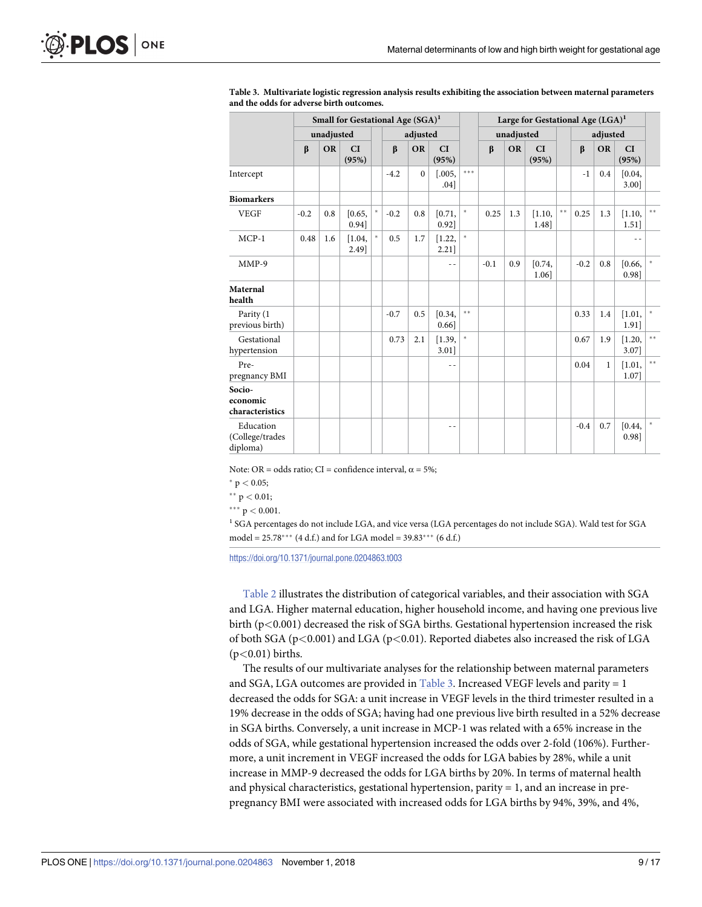|                                          |        |            | Small for Gestational Age (SGA) <sup>1</sup> |        |         |              |                    |        |        |            | Large for Gestational Age (LGA) <sup>1</sup> |            |         |              |                    |            |
|------------------------------------------|--------|------------|----------------------------------------------|--------|---------|--------------|--------------------|--------|--------|------------|----------------------------------------------|------------|---------|--------------|--------------------|------------|
|                                          |        | unadjusted |                                              |        |         | adjusted     |                    |        |        | unadjusted |                                              |            |         | adjusted     |                    |            |
|                                          | β      | <b>OR</b>  | CI<br>(95%)                                  |        | $\beta$ | <b>OR</b>    | CI<br>(95%)        |        | β      | <b>OR</b>  | CI<br>(95%)                                  |            | $\beta$ | <b>OR</b>    | CI<br>(95%)        |            |
| Intercept                                |        |            |                                              |        | $-4.2$  | $\mathbf{0}$ | [.005,<br>.04      | ***    |        |            |                                              |            | $-1$    | 0.4          | [0.04,<br>3.00]    |            |
| <b>Biomarkers</b>                        |        |            |                                              |        |         |              |                    |        |        |            |                                              |            |         |              |                    |            |
| <b>VEGF</b>                              | $-0.2$ | 0.8        | [0.65,<br>0.94]                              | $\ast$ | $-0.2$  | 0.8          | [0.71,<br>$0.92$ ] | $\ast$ | 0.25   | 1.3        | [1.10,<br>1.48                               | $\ast\ast$ | 0.25    | 1.3          | [1.10,<br>$1.51$ ] | $* *$      |
| $MCP-1$                                  | 0.48   | 1.6        | [1.04,<br>2.49]                              | $\ast$ | 0.5     | 1.7          | [1.22,<br>$2.21$ ] | *      |        |            |                                              |            |         |              |                    |            |
| $MMP-9$                                  |        |            |                                              |        |         |              | $ -$               |        | $-0.1$ | 0.9        | [0.74,<br>1.06                               |            | $-0.2$  | 0.8          | [0.66,<br>0.981    | $\ast$     |
| Maternal<br>health                       |        |            |                                              |        |         |              |                    |        |        |            |                                              |            |         |              |                    |            |
| Parity (1<br>previous birth)             |        |            |                                              |        | $-0.7$  | 0.5          | [0.34,<br>0.66     | $**$   |        |            |                                              |            | 0.33    | 1.4          | [1.01,<br>1.91]    | $\ast$     |
| Gestational<br>hypertension              |        |            |                                              |        | 0.73    | 2.1          | [1.39,<br>3.01     | $\ast$ |        |            |                                              |            | 0.67    | 1.9          | [1.20,<br>3.07]    | $* *$      |
| Pre-<br>pregnancy BMI                    |        |            |                                              |        |         |              | $ -$               |        |        |            |                                              |            | 0.04    | $\mathbf{1}$ | [1.01,<br>1.07]    | $\ast\ast$ |
| Socio-<br>economic<br>characteristics    |        |            |                                              |        |         |              |                    |        |        |            |                                              |            |         |              |                    |            |
| Education<br>(College/trades<br>diploma) |        |            |                                              |        |         |              | $ -$               |        |        |            |                                              |            | $-0.4$  | 0.7          | [0.44,<br>0.98]    | $\ast$     |

<span id="page-8-0"></span>**[Table](#page-4-0) 3. Multivariate logistic regression analysis results exhibiting the association between maternal parameters and the odds for adverse birth outcomes.**

Note: OR = odds ratio; CI = confidence interval,  $\alpha$  = 5%;

� p *<* 0.05;

�� p *<* 0.01;

 $***$   $p < 0.001$ .

<sup>1</sup> SGA percentages do not include LGA, and vice versa (LGA percentages do not include SGA). Wald test for SGA model =  $25.78^{\ast\ast\ast}$  (4 d.f.) and for LGA model =  $39.83^{\ast\ast\ast}$  (6 d.f.)

<https://doi.org/10.1371/journal.pone.0204863.t003>

[Table](#page-6-0) 2 illustrates the distribution of categorical variables, and their association with SGA and LGA. Higher maternal education, higher household income, and having one previous live birth (p*<*0.001) decreased the risk of SGA births. Gestational hypertension increased the risk of both SGA (p*<*0.001) and LGA (p*<*0.01). Reported diabetes also increased the risk of LGA (p*<*0.01) births.

The results of our multivariate analyses for the relationship between maternal parameters and SGA, LGA outcomes are provided in Table 3. Increased VEGF levels and parity = 1 decreased the odds for SGA: a unit increase in VEGF levels in the third trimester resulted in a 19% decrease in the odds of SGA; having had one previous live birth resulted in a 52% decrease in SGA births. Conversely, a unit increase in MCP-1 was related with a 65% increase in the odds of SGA, while gestational hypertension increased the odds over 2-fold (106%). Furthermore, a unit increment in VEGF increased the odds for LGA babies by 28%, while a unit increase in MMP-9 decreased the odds for LGA births by 20%. In terms of maternal health and physical characteristics, gestational hypertension, parity = 1, and an increase in prepregnancy BMI were associated with increased odds for LGA births by 94%, 39%, and 4%,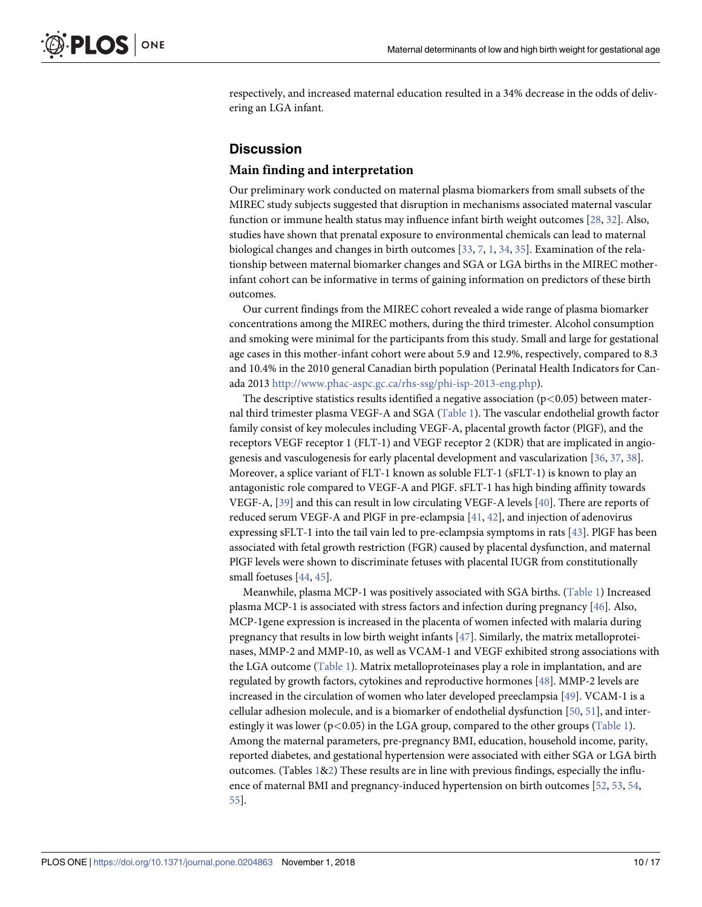<span id="page-9-0"></span>respectively, and increased maternal education resulted in a 34% decrease in the odds of delivering an LGA infant.

# **Discussion**

#### **Main finding and interpretation**

Our preliminary work conducted on maternal plasma biomarkers from small subsets of the MIREC study subjects suggested that disruption in mechanisms associated maternal vascular function or immune health status may influence infant birth weight outcomes [[28](#page-14-0), [32](#page-14-0)]. Also, studies have shown that prenatal exposure to environmental chemicals can lead to maternal biological changes and changes in birth outcomes [[33](#page-14-0), [7,](#page-13-0) [1,](#page-12-0) [34,](#page-14-0) [35\]](#page-14-0). Examination of the relationship between maternal biomarker changes and SGA or LGA births in the MIREC motherinfant cohort can be informative in terms of gaining information on predictors of these birth outcomes.

Our current findings from the MIREC cohort revealed a wide range of plasma biomarker concentrations among the MIREC mothers, during the third trimester. Alcohol consumption and smoking were minimal for the participants from this study. Small and large for gestational age cases in this mother-infant cohort were about 5.9 and 12.9%, respectively, compared to 8.3 and 10.4% in the 2010 general Canadian birth population (Perinatal Health Indicators for Canada 2013 <http://www.phac-aspc.gc.ca/rhs-ssg/phi-isp-2013-eng.php>).

The descriptive statistics results identified a negative association (p*<*0.05) between maternal third trimester plasma VEGF-A and SGA ([Table](#page-5-0) 1). The vascular endothelial growth factor family consist of key molecules including VEGF-A, placental growth factor (PlGF), and the receptors VEGF receptor 1 (FLT-1) and VEGF receptor 2 (KDR) that are implicated in angiogenesis and vasculogenesis for early placental development and vascularization [\[36,](#page-14-0) [37,](#page-14-0) [38\]](#page-14-0). Moreover, a splice variant of FLT-1 known as soluble FLT-1 (sFLT-1) is known to play an antagonistic role compared to VEGF-A and PlGF. sFLT-1 has high binding affinity towards VEGF-A, [\[39\]](#page-14-0) and this can result in low circulating VEGF-A levels [[40](#page-14-0)]. There are reports of reduced serum VEGF-A and PlGF in pre-eclampsia [\[41,](#page-14-0) [42\]](#page-14-0), and injection of adenovirus expressing sFLT-1 into the tail vain led to pre-eclampsia symptoms in rats [[43](#page-14-0)]. PlGF has been associated with fetal growth restriction (FGR) caused by placental dysfunction, and maternal PlGF levels were shown to discriminate fetuses with placental IUGR from constitutionally small foetuses [[44](#page-15-0), [45](#page-15-0)].

Meanwhile, plasma MCP-1 was positively associated with SGA births. ([Table](#page-5-0) 1) Increased plasma MCP-1 is associated with stress factors and infection during pregnancy [[46](#page-15-0)]. Also, MCP-1gene expression is increased in the placenta of women infected with malaria during pregnancy that results in low birth weight infants [[47](#page-15-0)]. Similarly, the matrix metalloproteinases, MMP-2 and MMP-10, as well as VCAM-1 and VEGF exhibited strong associations with the LGA outcome ([Table](#page-5-0) 1). Matrix metalloproteinases play a role in implantation, and are regulated by growth factors, cytokines and reproductive hormones [\[48\]](#page-15-0). MMP-2 levels are increased in the circulation of women who later developed preeclampsia [[49](#page-15-0)]. VCAM-1 is a cellular adhesion molecule, and is a biomarker of endothelial dysfunction [[50](#page-15-0), [51](#page-15-0)], and interestingly it was lower (p*<*0.05) in the LGA group, compared to the other groups ([Table](#page-5-0) 1). Among the maternal parameters, pre-pregnancy BMI, education, household income, parity, reported diabetes, and gestational hypertension were associated with either SGA or LGA birth outcomes. (Tables  $1\&2$  $1\&2$  $1\&2$ ) These results are in line with previous findings, especially the influence of maternal BMI and pregnancy-induced hypertension on birth outcomes [[52](#page-15-0), [53](#page-15-0), [54](#page-15-0), [55\]](#page-15-0).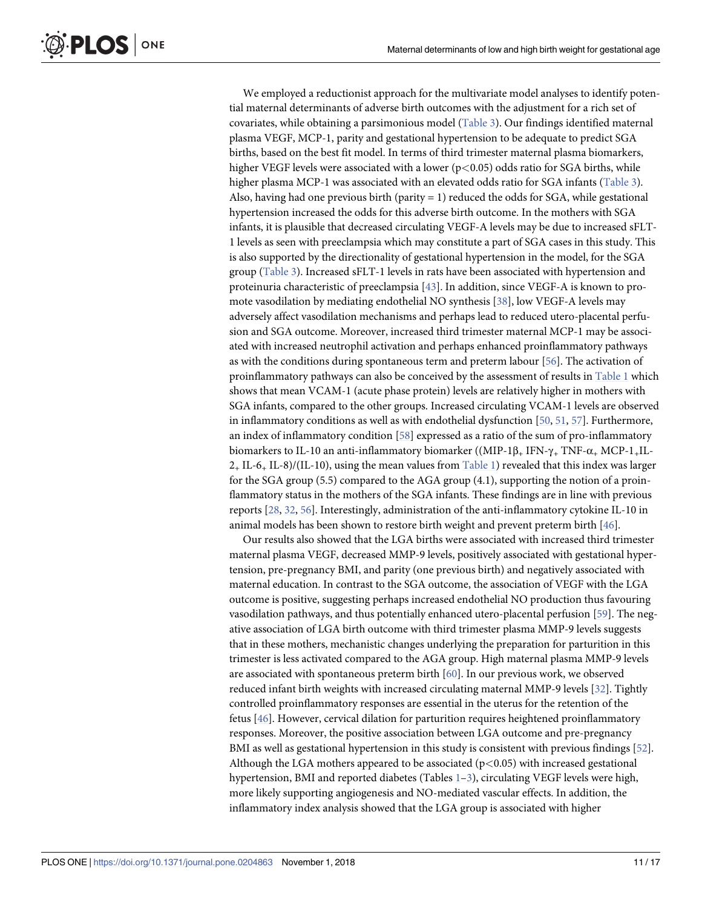<span id="page-10-0"></span>PLOS ONE

We employed a reductionist approach for the multivariate model analyses to identify potential maternal determinants of adverse birth outcomes with the adjustment for a rich set of covariates, while obtaining a parsimonious model ([Table](#page-8-0) 3). Our findings identified maternal plasma VEGF, MCP-1, parity and gestational hypertension to be adequate to predict SGA births, based on the best fit model. In terms of third trimester maternal plasma biomarkers, higher VEGF levels were associated with a lower (p*<*0.05) odds ratio for SGA births, while higher plasma MCP-1 was associated with an elevated odds ratio for SGA infants [\(Table](#page-8-0) 3). Also, having had one previous birth (parity = 1) reduced the odds for SGA, while gestational hypertension increased the odds for this adverse birth outcome. In the mothers with SGA infants, it is plausible that decreased circulating VEGF-A levels may be due to increased sFLT-1 levels as seen with preeclampsia which may constitute a part of SGA cases in this study. This is also supported by the directionality of gestational hypertension in the model, for the SGA group [\(Table](#page-8-0) 3). Increased sFLT-1 levels in rats have been associated with hypertension and proteinuria characteristic of preeclampsia [\[43\]](#page-14-0). In addition, since VEGF-A is known to promote vasodilation by mediating endothelial NO synthesis [\[38\]](#page-14-0), low VEGF-A levels may adversely affect vasodilation mechanisms and perhaps lead to reduced utero-placental perfusion and SGA outcome. Moreover, increased third trimester maternal MCP-1 may be associated with increased neutrophil activation and perhaps enhanced proinflammatory pathways as with the conditions during spontaneous term and preterm labour [\[56\]](#page-15-0). The activation of proinflammatory pathways can also be conceived by the assessment of results in [Table](#page-5-0) 1 which shows that mean VCAM-1 (acute phase protein) levels are relatively higher in mothers with SGA infants, compared to the other groups. Increased circulating VCAM-1 levels are observed in inflammatory conditions as well as with endothelial dysfunction [\[50,](#page-15-0) [51,](#page-15-0) [57\]](#page-15-0). Furthermore, an index of inflammatory condition [\[58\]](#page-15-0) expressed as a ratio of the sum of pro-inflammatory biomarkers to IL-10 an anti-inflammatory biomarker ((MIP-1 $\beta$ + IFN- $\gamma$ + TNF- $\alpha$ + MCP-1<sub>+</sub>IL- $2_{+}$  IL-6<sub>+</sub> IL-8)/(IL-10), using the mean values from [Table](#page-5-0) 1) revealed that this index was larger for the SGA group (5.5) compared to the AGA group (4.1), supporting the notion of a proinflammatory status in the mothers of the SGA infants. These findings are in line with previous reports [\[28,](#page-14-0) [32,](#page-14-0) [56\]](#page-15-0). Interestingly, administration of the anti-inflammatory cytokine IL-10 in animal models has been shown to restore birth weight and prevent preterm birth [\[46\]](#page-15-0).

Our results also showed that the LGA births were associated with increased third trimester maternal plasma VEGF, decreased MMP-9 levels, positively associated with gestational hypertension, pre-pregnancy BMI, and parity (one previous birth) and negatively associated with maternal education. In contrast to the SGA outcome, the association of VEGF with the LGA outcome is positive, suggesting perhaps increased endothelial NO production thus favouring vasodilation pathways, and thus potentially enhanced utero-placental perfusion [[59](#page-15-0)]. The negative association of LGA birth outcome with third trimester plasma MMP-9 levels suggests that in these mothers, mechanistic changes underlying the preparation for parturition in this trimester is less activated compared to the AGA group. High maternal plasma MMP-9 levels are associated with spontaneous preterm birth [\[60\]](#page-15-0). In our previous work, we observed reduced infant birth weights with increased circulating maternal MMP-9 levels [[32](#page-14-0)]. Tightly controlled proinflammatory responses are essential in the uterus for the retention of the fetus [[46](#page-15-0)]. However, cervical dilation for parturition requires heightened proinflammatory responses. Moreover, the positive association between LGA outcome and pre-pregnancy BMI as well as gestational hypertension in this study is consistent with previous findings [\[52\]](#page-15-0). Although the LGA mothers appeared to be associated (p*<*0.05) with increased gestational hypertension, BMI and reported diabetes (Tables [1](#page-5-0)[–3\)](#page-8-0), circulating VEGF levels were high, more likely supporting angiogenesis and NO-mediated vascular effects. In addition, the inflammatory index analysis showed that the LGA group is associated with higher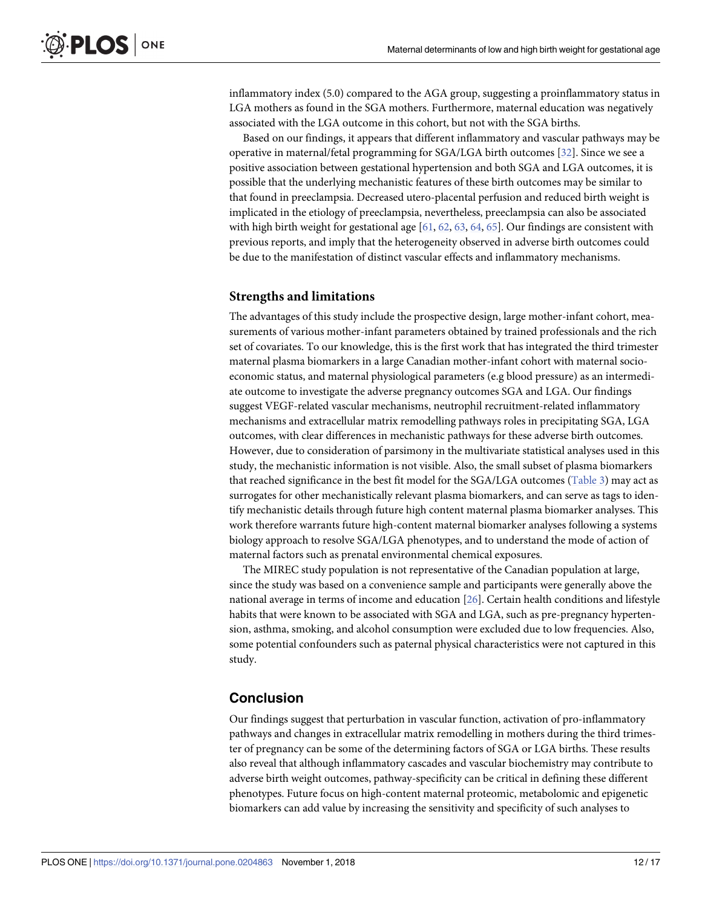<span id="page-11-0"></span>inflammatory index (5.0) compared to the AGA group, suggesting a proinflammatory status in LGA mothers as found in the SGA mothers. Furthermore, maternal education was negatively associated with the LGA outcome in this cohort, but not with the SGA births.

Based on our findings, it appears that different inflammatory and vascular pathways may be operative in maternal/fetal programming for SGA/LGA birth outcomes [\[32\]](#page-14-0). Since we see a positive association between gestational hypertension and both SGA and LGA outcomes, it is possible that the underlying mechanistic features of these birth outcomes may be similar to that found in preeclampsia. Decreased utero-placental perfusion and reduced birth weight is implicated in the etiology of preeclampsia, nevertheless, preeclampsia can also be associated with high birth weight for gestational age [[61](#page-15-0), [62](#page-15-0), [63,](#page-15-0) [64,](#page-16-0) [65\]](#page-16-0). Our findings are consistent with previous reports, and imply that the heterogeneity observed in adverse birth outcomes could be due to the manifestation of distinct vascular effects and inflammatory mechanisms.

#### **Strengths and limitations**

The advantages of this study include the prospective design, large mother-infant cohort, measurements of various mother-infant parameters obtained by trained professionals and the rich set of covariates. To our knowledge, this is the first work that has integrated the third trimester maternal plasma biomarkers in a large Canadian mother-infant cohort with maternal socioeconomic status, and maternal physiological parameters (e.g blood pressure) as an intermediate outcome to investigate the adverse pregnancy outcomes SGA and LGA. Our findings suggest VEGF-related vascular mechanisms, neutrophil recruitment-related inflammatory mechanisms and extracellular matrix remodelling pathways roles in precipitating SGA, LGA outcomes, with clear differences in mechanistic pathways for these adverse birth outcomes. However, due to consideration of parsimony in the multivariate statistical analyses used in this study, the mechanistic information is not visible. Also, the small subset of plasma biomarkers that reached significance in the best fit model for the SGA/LGA outcomes [\(Table](#page-8-0) 3) may act as surrogates for other mechanistically relevant plasma biomarkers, and can serve as tags to identify mechanistic details through future high content maternal plasma biomarker analyses. This work therefore warrants future high-content maternal biomarker analyses following a systems biology approach to resolve SGA/LGA phenotypes, and to understand the mode of action of maternal factors such as prenatal environmental chemical exposures.

The MIREC study population is not representative of the Canadian population at large, since the study was based on a convenience sample and participants were generally above the national average in terms of income and education [\[26\]](#page-14-0). Certain health conditions and lifestyle habits that were known to be associated with SGA and LGA, such as pre-pregnancy hypertension, asthma, smoking, and alcohol consumption were excluded due to low frequencies. Also, some potential confounders such as paternal physical characteristics were not captured in this study.

# **Conclusion**

Our findings suggest that perturbation in vascular function, activation of pro-inflammatory pathways and changes in extracellular matrix remodelling in mothers during the third trimester of pregnancy can be some of the determining factors of SGA or LGA births. These results also reveal that although inflammatory cascades and vascular biochemistry may contribute to adverse birth weight outcomes, pathway-specificity can be critical in defining these different phenotypes. Future focus on high-content maternal proteomic, metabolomic and epigenetic biomarkers can add value by increasing the sensitivity and specificity of such analyses to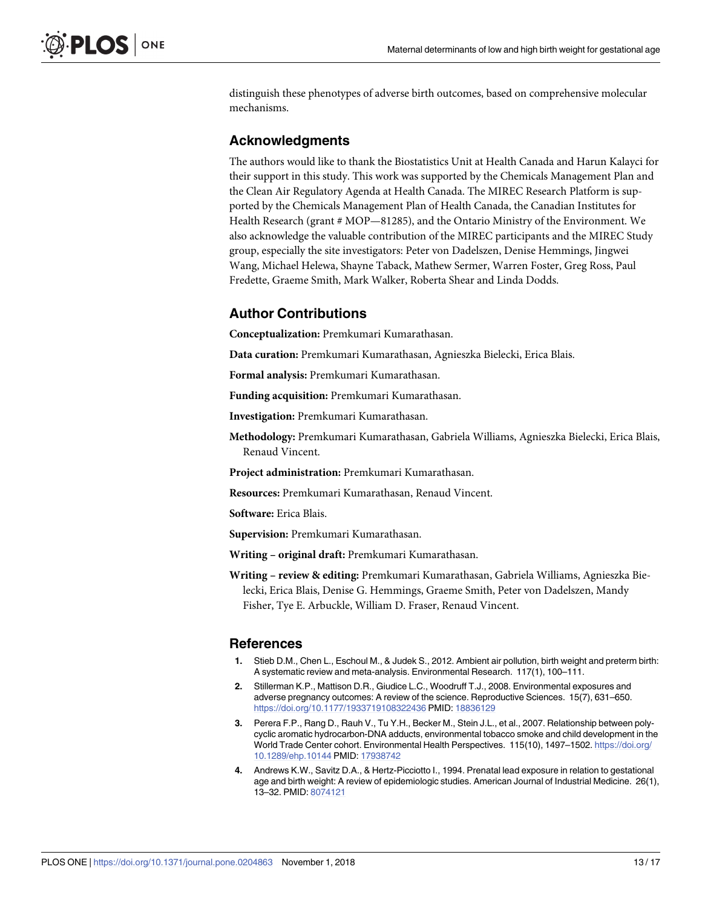<span id="page-12-0"></span>distinguish these phenotypes of adverse birth outcomes, based on comprehensive molecular mechanisms.

#### **Acknowledgments**

The authors would like to thank the Biostatistics Unit at Health Canada and Harun Kalayci for their support in this study. This work was supported by the Chemicals Management Plan and the Clean Air Regulatory Agenda at Health Canada. The MIREC Research Platform is supported by the Chemicals Management Plan of Health Canada, the Canadian Institutes for Health Research (grant # MOP—81285), and the Ontario Ministry of the Environment. We also acknowledge the valuable contribution of the MIREC participants and the MIREC Study group, especially the site investigators: Peter von Dadelszen, Denise Hemmings, Jingwei Wang, Michael Helewa, Shayne Taback, Mathew Sermer, Warren Foster, Greg Ross, Paul Fredette, Graeme Smith, Mark Walker, Roberta Shear and Linda Dodds.

# **Author Contributions**

**Conceptualization:** Premkumari Kumarathasan.

**Data curation:** Premkumari Kumarathasan, Agnieszka Bielecki, Erica Blais.

**Formal analysis:** Premkumari Kumarathasan.

**Funding acquisition:** Premkumari Kumarathasan.

**Investigation:** Premkumari Kumarathasan.

**Methodology:** Premkumari Kumarathasan, Gabriela Williams, Agnieszka Bielecki, Erica Blais, Renaud Vincent.

**Project administration:** Premkumari Kumarathasan.

**Resources:** Premkumari Kumarathasan, Renaud Vincent.

**Software:** Erica Blais.

**Supervision:** Premkumari Kumarathasan.

**Writing – original draft:** Premkumari Kumarathasan.

**Writing – review & editing:** Premkumari Kumarathasan, Gabriela Williams, Agnieszka Bielecki, Erica Blais, Denise G. Hemmings, Graeme Smith, Peter von Dadelszen, Mandy Fisher, Tye E. Arbuckle, William D. Fraser, Renaud Vincent.

#### **References**

- **[1](#page-1-0).** Stieb D.M., Chen L., Eschoul M., & Judek S., 2012. Ambient air pollution, birth weight and preterm birth: A systematic review and meta-analysis. Environmental Research. 117(1), 100–111.
- **[2](#page-1-0).** Stillerman K.P., Mattison D.R., Giudice L.C., Woodruff T.J., 2008. Environmental exposures and adverse pregnancy outcomes: A review of the science. Reproductive Sciences. 15(7), 631–650. <https://doi.org/10.1177/1933719108322436> PMID: [18836129](http://www.ncbi.nlm.nih.gov/pubmed/18836129)
- **[3](#page-1-0).** Perera F.P., Rang D., Rauh V., Tu Y.H., Becker M., Stein J.L., et al., 2007. Relationship between polycyclic aromatic hydrocarbon-DNA adducts, environmental tobacco smoke and child development in the World Trade Center cohort. Environmental Health Perspectives. 115(10), 1497–1502. [https://doi.org/](https://doi.org/10.1289/ehp.10144) [10.1289/ehp.10144](https://doi.org/10.1289/ehp.10144) PMID: [17938742](http://www.ncbi.nlm.nih.gov/pubmed/17938742)
- **[4](#page-1-0).** Andrews K.W., Savitz D.A., & Hertz-Picciotto I., 1994. Prenatal lead exposure in relation to gestational age and birth weight: A review of epidemiologic studies. American Journal of Industrial Medicine. 26(1), 13–32. PMID: [8074121](http://www.ncbi.nlm.nih.gov/pubmed/8074121)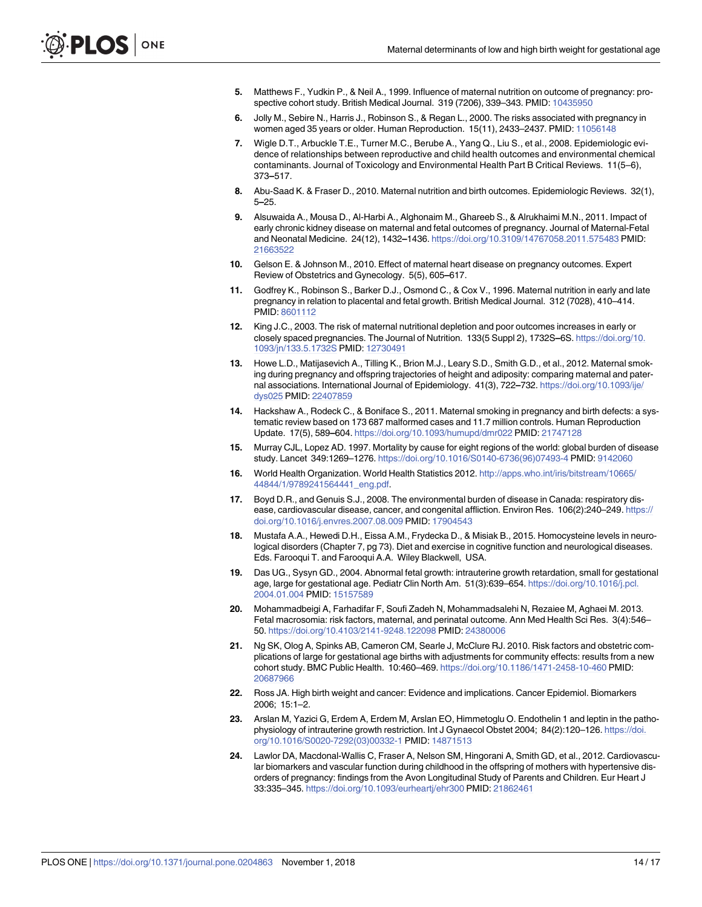- <span id="page-13-0"></span>**[5](#page-1-0).** Matthews F., Yudkin P., & Neil A., 1999. Influence of maternal nutrition on outcome of pregnancy: prospective cohort study. British Medical Journal. 319 (7206), 339–343. PMID: [10435950](http://www.ncbi.nlm.nih.gov/pubmed/10435950)
- **[6](#page-1-0).** Jolly M., Sebire N., Harris J., Robinson S., & Regan L., 2000. The risks associated with pregnancy in women aged 35 years or older. Human Reproduction. 15(11), 2433–2437. PMID: [11056148](http://www.ncbi.nlm.nih.gov/pubmed/11056148)
- **[7](#page-1-0).** Wigle D.T., Arbuckle T.E., Turner M.C., Berube A., Yang Q., Liu S., et al., 2008. Epidemiologic evidence of relationships between reproductive and child health outcomes and environmental chemical contaminants. Journal of Toxicology and Environmental Health Part B Critical Reviews. 11(5–6), 373**–**517.
- **[8](#page-1-0).** Abu-Saad K. & Fraser D., 2010. Maternal nutrition and birth outcomes. Epidemiologic Reviews. 32(1), 5**–**25.
- **[9](#page-1-0).** Alsuwaida A., Mousa D., Al-Harbi A., Alghonaim M., Ghareeb S., & Alrukhaimi M.N., 2011. Impact of early chronic kidney disease on maternal and fetal outcomes of pregnancy. Journal of Maternal-Fetal and Neonatal Medicine. 24(12), 1432**–**1436. <https://doi.org/10.3109/14767058.2011.575483> PMID: [21663522](http://www.ncbi.nlm.nih.gov/pubmed/21663522)
- **[10](#page-1-0).** Gelson E. & Johnson M., 2010. Effect of maternal heart disease on pregnancy outcomes. Expert Review of Obstetrics and Gynecology. 5(5), 605**–**617.
- **[11](#page-1-0).** Godfrey K., Robinson S., Barker D.J., Osmond C., & Cox V., 1996. Maternal nutrition in early and late pregnancy in relation to placental and fetal growth. British Medical Journal. 312 (7028), 410–414. PMID: [8601112](http://www.ncbi.nlm.nih.gov/pubmed/8601112)
- **[12](#page-1-0).** King J.C., 2003. The risk of maternal nutritional depletion and poor outcomes increases in early or closely spaced pregnancies. The Journal of Nutrition. 133(5 Suppl 2), 1732S**–**6S. [https://doi.org/10.](https://doi.org/10.1093/jn/133.5.1732S) [1093/jn/133.5.1732S](https://doi.org/10.1093/jn/133.5.1732S) PMID: [12730491](http://www.ncbi.nlm.nih.gov/pubmed/12730491)
- **[13](#page-1-0).** Howe L.D., Matijasevich A., Tilling K., Brion M.J., Leary S.D., Smith G.D., et al., 2012. Maternal smoking during pregnancy and offspring trajectories of height and adiposity: comparing maternal and paternal associations. International Journal of Epidemiology. 41(3), 722**–**732. [https://doi.org/10.1093/ije/](https://doi.org/10.1093/ije/dys025) [dys025](https://doi.org/10.1093/ije/dys025) PMID: [22407859](http://www.ncbi.nlm.nih.gov/pubmed/22407859)
- **[14](#page-1-0).** Hackshaw A., Rodeck C., & Boniface S., 2011. Maternal smoking in pregnancy and birth defects: a systematic review based on 173 687 malformed cases and 11.7 million controls. Human Reproduction Update. 17(5), 589**–**604. <https://doi.org/10.1093/humupd/dmr022> PMID: [21747128](http://www.ncbi.nlm.nih.gov/pubmed/21747128)
- **[15](#page-1-0).** Murray CJL, Lopez AD. 1997. Mortality by cause for eight regions of the world: global burden of disease study. Lancet 349:1269–1276. [https://doi.org/10.1016/S0140-6736\(96\)07493-4](https://doi.org/10.1016/S0140-6736(96)07493-4) PMID: [9142060](http://www.ncbi.nlm.nih.gov/pubmed/9142060)
- **[16](#page-1-0).** World Health Organization. World Health Statistics 2012. [http://apps.who.int/iris/bitstream/10665/](http://apps.who.int/iris/bitstream/10665/44844/1/9789241564441_eng.pdf) [44844/1/9789241564441\\_eng.pdf](http://apps.who.int/iris/bitstream/10665/44844/1/9789241564441_eng.pdf).
- **[17](#page-1-0).** Boyd D.R., and Genuis S.J., 2008. The environmental burden of disease in Canada: respiratory disease, cardiovascular disease, cancer, and congenital affliction. Environ Res. 106(2):240-249. [https://](https://doi.org/10.1016/j.envres.2007.08.009) [doi.org/10.1016/j.envres.2007.08.009](https://doi.org/10.1016/j.envres.2007.08.009) PMID: [17904543](http://www.ncbi.nlm.nih.gov/pubmed/17904543)
- **[18](#page-1-0).** Mustafa A.A., Hewedi D.H., Eissa A.M., Frydecka D., & Misiak B., 2015. Homocysteine levels in neurological disorders (Chapter 7, pg 73). Diet and exercise in cognitive function and neurological diseases. Eds. Farooqui T. and Farooqui A.A. Wiley Blackwell, USA.
- **[19](#page-1-0).** Das UG., Sysyn GD., 2004. Abnormal fetal growth: intrauterine growth retardation, small for gestational age, large for gestational age. Pediatr Clin North Am. 51(3):639–654. [https://doi.org/10.1016/j.pcl.](https://doi.org/10.1016/j.pcl.2004.01.004) [2004.01.004](https://doi.org/10.1016/j.pcl.2004.01.004) PMID: [15157589](http://www.ncbi.nlm.nih.gov/pubmed/15157589)
- **[20](#page-1-0).** Mohammadbeigi A, Farhadifar F, Soufi Zadeh N, Mohammadsalehi N, Rezaiee M, Aghaei M. 2013. Fetal macrosomia: risk factors, maternal, and perinatal outcome. Ann Med Health Sci Res. 3(4):546– 50. <https://doi.org/10.4103/2141-9248.122098> PMID: [24380006](http://www.ncbi.nlm.nih.gov/pubmed/24380006)
- **[21](#page-1-0).** Ng SK, Olog A, Spinks AB, Cameron CM, Searle J, McClure RJ. 2010. Risk factors and obstetric complications of large for gestational age births with adjustments for community effects: results from a new cohort study. BMC Public Health. 10:460–469. <https://doi.org/10.1186/1471-2458-10-460> PMID: [20687966](http://www.ncbi.nlm.nih.gov/pubmed/20687966)
- **[22](#page-1-0).** Ross JA. High birth weight and cancer: Evidence and implications. Cancer Epidemiol. Biomarkers 2006; 15:1–2.
- **[23](#page-1-0).** Arslan M, Yazici G, Erdem A, Erdem M, Arslan EO, Himmetoglu O. Endothelin 1 and leptin in the pathophysiology of intrauterine growth restriction. Int J Gynaecol Obstet 2004; 84(2):120–126. [https://doi.](https://doi.org/10.1016/S0020-7292(03)00332-1) [org/10.1016/S0020-7292\(03\)00332-1](https://doi.org/10.1016/S0020-7292(03)00332-1) PMID: [14871513](http://www.ncbi.nlm.nih.gov/pubmed/14871513)
- **[24](#page-1-0).** Lawlor DA, Macdonal-Wallis C, Fraser A, Nelson SM, Hingorani A, Smith GD, et al., 2012. Cardiovascular biomarkers and vascular function during childhood in the offspring of mothers with hypertensive disorders of pregnancy: findings from the Avon Longitudinal Study of Parents and Children. Eur Heart J 33:335–345. <https://doi.org/10.1093/eurheartj/ehr300> PMID: [21862461](http://www.ncbi.nlm.nih.gov/pubmed/21862461)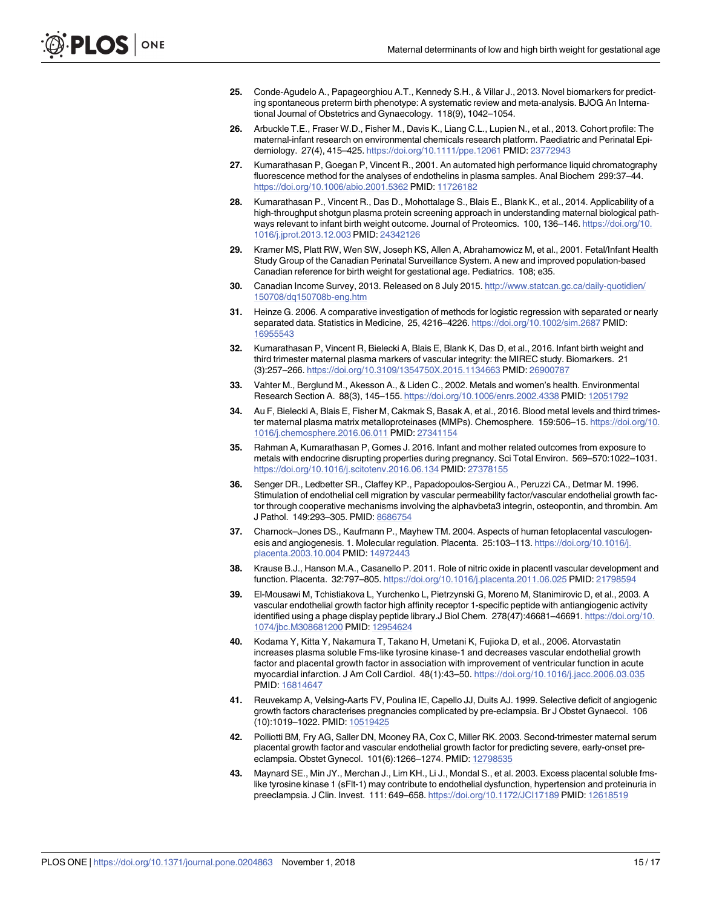- <span id="page-14-0"></span>**[25](#page-2-0).** Conde-Agudelo A., Papageorghiou A.T., Kennedy S.H., & Villar J., 2013. Novel biomarkers for predicting spontaneous preterm birth phenotype: A systematic review and meta-analysis. BJOG An International Journal of Obstetrics and Gynaecology. 118(9), 1042–1054.
- **[26](#page-2-0).** Arbuckle T.E., Fraser W.D., Fisher M., Davis K., Liang C.L., Lupien N., et al., 2013. Cohort profile: The maternal-infant research on environmental chemicals research platform. Paediatric and Perinatal Epidemiology. 27(4), 415–425. <https://doi.org/10.1111/ppe.12061> PMID: [23772943](http://www.ncbi.nlm.nih.gov/pubmed/23772943)
- **[27](#page-3-0).** Kumarathasan P, Goegan P, Vincent R., 2001. An automated high performance liquid chromatography fluorescence method for the analyses of endothelins in plasma samples. Anal Biochem 299:37–44. <https://doi.org/10.1006/abio.2001.5362> PMID: [11726182](http://www.ncbi.nlm.nih.gov/pubmed/11726182)
- **[28](#page-3-0).** Kumarathasan P., Vincent R., Das D., Mohottalage S., Blais E., Blank K., et al., 2014. Applicability of a high-throughput shotgun plasma protein screening approach in understanding maternal biological pathways relevant to infant birth weight outcome. Journal of Proteomics. 100, 136–146. [https://doi.org/10.](https://doi.org/10.1016/j.jprot.2013.12.003) [1016/j.jprot.2013.12.003](https://doi.org/10.1016/j.jprot.2013.12.003) PMID: [24342126](http://www.ncbi.nlm.nih.gov/pubmed/24342126)
- **[29](#page-3-0).** Kramer MS, Platt RW, Wen SW, Joseph KS, Allen A, Abrahamowicz M, et al., 2001. Fetal/Infant Health Study Group of the Canadian Perinatal Surveillance System. A new and improved population-based Canadian reference for birth weight for gestational age. Pediatrics. 108; e35.
- **[30](#page-4-0).** Canadian Income Survey, 2013. Released on 8 July 2015. [http://www.statcan.gc.ca/daily-quotidien/](http://www.statcan.gc.ca/daily-quotidien/150708/dq150708b-eng.htm) [150708/dq150708b-eng.htm](http://www.statcan.gc.ca/daily-quotidien/150708/dq150708b-eng.htm)
- **[31](#page-4-0).** Heinze G. 2006. A comparative investigation of methods for logistic regression with separated or nearly separated data. Statistics in Medicine, 25, 4216–4226. <https://doi.org/10.1002/sim.2687> PMID: [16955543](http://www.ncbi.nlm.nih.gov/pubmed/16955543)
- **[32](#page-9-0).** Kumarathasan P, Vincent R, Bielecki A, Blais E, Blank K, Das D, et al., 2016. Infant birth weight and third trimester maternal plasma markers of vascular integrity: the MIREC study. Biomarkers. 21 (3):257–266. <https://doi.org/10.3109/1354750X.2015.1134663> PMID: [26900787](http://www.ncbi.nlm.nih.gov/pubmed/26900787)
- **[33](#page-9-0).** Vahter M., Berglund M., Akesson A., & Liden C., 2002. Metals and women's health. Environmental Research Section A. 88(3), 145–155. <https://doi.org/10.1006/enrs.2002.4338> PMID: [12051792](http://www.ncbi.nlm.nih.gov/pubmed/12051792)
- **[34](#page-9-0).** Au F, Bielecki A, Blais E, Fisher M, Cakmak S, Basak A, et al., 2016. Blood metal levels and third trimester maternal plasma matrix metalloproteinases (MMPs). Chemosphere. 159:506–15. [https://doi.org/10.](https://doi.org/10.1016/j.chemosphere.2016.06.011) [1016/j.chemosphere.2016.06.011](https://doi.org/10.1016/j.chemosphere.2016.06.011) PMID: [27341154](http://www.ncbi.nlm.nih.gov/pubmed/27341154)
- **[35](#page-9-0).** Rahman A, Kumarathasan P, Gomes J. 2016. Infant and mother related outcomes from exposure to metals with endocrine disrupting properties during pregnancy. Sci Total Environ. 569–570:1022–1031. <https://doi.org/10.1016/j.scitotenv.2016.06.134> PMID: [27378155](http://www.ncbi.nlm.nih.gov/pubmed/27378155)
- **[36](#page-9-0).** Senger DR., Ledbetter SR., Claffey KP., Papadopoulos-Sergiou A., Peruzzi CA., Detmar M. 1996. Stimulation of endothelial cell migration by vascular permeability factor/vascular endothelial growth factor through cooperative mechanisms involving the alphavbeta3 integrin, osteopontin, and thrombin. Am J Pathol. 149:293–305. PMID: [8686754](http://www.ncbi.nlm.nih.gov/pubmed/8686754)
- **[37](#page-9-0).** Charnock–Jones DS., Kaufmann P., Mayhew TM. 2004. Aspects of human fetoplacental vasculogenesis and angiogenesis. 1. Molecular regulation. Placenta. 25:103–113. [https://doi.org/10.1016/j.](https://doi.org/10.1016/j.placenta.2003.10.004) [placenta.2003.10.004](https://doi.org/10.1016/j.placenta.2003.10.004) PMID: [14972443](http://www.ncbi.nlm.nih.gov/pubmed/14972443)
- **[38](#page-9-0).** Krause B.J., Hanson M.A., Casanello P. 2011. Role of nitric oxide in placentl vascular development and function. Placenta. 32:797–805. <https://doi.org/10.1016/j.placenta.2011.06.025> PMID: [21798594](http://www.ncbi.nlm.nih.gov/pubmed/21798594)
- **[39](#page-9-0).** El-Mousawi M, Tchistiakova L, Yurchenko L, Pietrzynski G, Moreno M, Stanimirovic D, et al., 2003. A vascular endothelial growth factor high affinity receptor 1-specific peptide with antiangiogenic activity identified using a phage display peptide library.J Biol Chem. 278(47):46681–46691. [https://doi.org/10.](https://doi.org/10.1074/jbc.M308681200) [1074/jbc.M308681200](https://doi.org/10.1074/jbc.M308681200) PMID: [12954624](http://www.ncbi.nlm.nih.gov/pubmed/12954624)
- **[40](#page-9-0).** Kodama Y, Kitta Y, Nakamura T, Takano H, Umetani K, Fujioka D, et al., 2006. Atorvastatin increases plasma soluble Fms-like tyrosine kinase-1 and decreases vascular endothelial growth factor and placental growth factor in association with improvement of ventricular function in acute myocardial infarction. J Am Coll Cardiol. 48(1):43–50. <https://doi.org/10.1016/j.jacc.2006.03.035> PMID: [16814647](http://www.ncbi.nlm.nih.gov/pubmed/16814647)
- **[41](#page-9-0).** Reuvekamp A, Velsing-Aarts FV, Poulina IE, Capello JJ, Duits AJ. 1999. Selective deficit of angiogenic growth factors characterises pregnancies complicated by pre-eclampsia. Br J Obstet Gynaecol. 106 (10):1019–1022. PMID: [10519425](http://www.ncbi.nlm.nih.gov/pubmed/10519425)
- **[42](#page-9-0).** Polliotti BM, Fry AG, Saller DN, Mooney RA, Cox C, Miller RK. 2003. Second-trimester maternal serum placental growth factor and vascular endothelial growth factor for predicting severe, early-onset preeclampsia. Obstet Gynecol. 101(6):1266–1274. PMID: [12798535](http://www.ncbi.nlm.nih.gov/pubmed/12798535)
- **[43](#page-9-0).** Maynard SE., Min JY., Merchan J., Lim KH., Li J., Mondal S., et al. 2003. Excess placental soluble fmslike tyrosine kinase 1 (sFlt-1) may contribute to endothelial dysfunction, hypertension and proteinuria in preeclampsia. J Clin. Invest. 111: 649–658. <https://doi.org/10.1172/JCI17189> PMID: [12618519](http://www.ncbi.nlm.nih.gov/pubmed/12618519)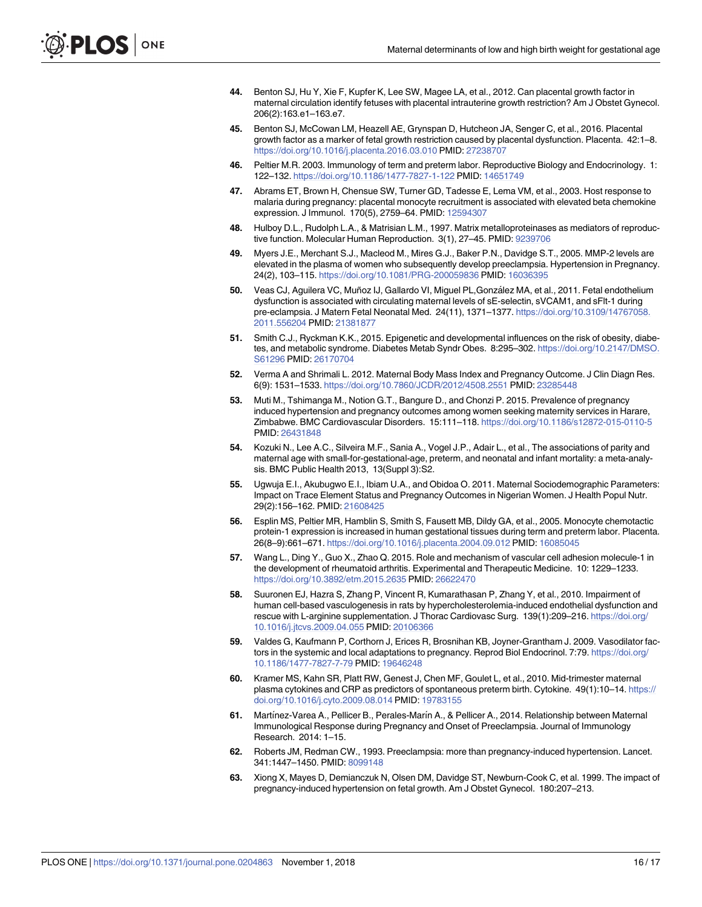- <span id="page-15-0"></span>**[44](#page-9-0).** Benton SJ, Hu Y, Xie F, Kupfer K, Lee SW, Magee LA, et al., 2012. Can placental growth factor in maternal circulation identify fetuses with placental intrauterine growth restriction? Am J Obstet Gynecol. 206(2):163.e1–163.e7.
- **[45](#page-9-0).** Benton SJ, McCowan LM, Heazell AE, Grynspan D, Hutcheon JA, Senger C, et al., 2016. Placental growth factor as a marker of fetal growth restriction caused by placental dysfunction. Placenta. 42:1–8. <https://doi.org/10.1016/j.placenta.2016.03.010> PMID: [27238707](http://www.ncbi.nlm.nih.gov/pubmed/27238707)
- **[46](#page-9-0).** Peltier M.R. 2003. Immunology of term and preterm labor. Reproductive Biology and Endocrinology. 1: 122–132. <https://doi.org/10.1186/1477-7827-1-122> PMID: [14651749](http://www.ncbi.nlm.nih.gov/pubmed/14651749)
- **[47](#page-9-0).** Abrams ET, Brown H, Chensue SW, Turner GD, Tadesse E, Lema VM, et al., 2003. Host response to malaria during pregnancy: placental monocyte recruitment is associated with elevated beta chemokine expression. J Immunol. 170(5), 2759–64. PMID: [12594307](http://www.ncbi.nlm.nih.gov/pubmed/12594307)
- **[48](#page-9-0).** Hulboy D.L., Rudolph L.A., & Matrisian L.M., 1997. Matrix metalloproteinases as mediators of reproductive function. Molecular Human Reproduction. 3(1), 27–45. PMID: [9239706](http://www.ncbi.nlm.nih.gov/pubmed/9239706)
- **[49](#page-9-0).** Myers J.E., Merchant S.J., Macleod M., Mires G.J., Baker P.N., Davidge S.T., 2005. MMP-2 levels are elevated in the plasma of women who subsequently develop preeclampsia. Hypertension in Pregnancy. 24(2), 103–115. <https://doi.org/10.1081/PRG-200059836> PMID: [16036395](http://www.ncbi.nlm.nih.gov/pubmed/16036395)
- **[50](#page-9-0).** Veas CJ, Aguilera VC, Muñoz IJ, Gallardo VI, Miguel PL,Gonza´lez MA, et al., 2011. Fetal endothelium dysfunction is associated with circulating maternal levels of sE-selectin, sVCAM1, and sFlt-1 during pre-eclampsia. J Matern Fetal Neonatal Med. 24(11), 1371–1377. [https://doi.org/10.3109/14767058.](https://doi.org/10.3109/14767058.2011.556204) [2011.556204](https://doi.org/10.3109/14767058.2011.556204) PMID: [21381877](http://www.ncbi.nlm.nih.gov/pubmed/21381877)
- **[51](#page-9-0).** Smith C.J., Ryckman K.K., 2015. Epigenetic and developmental influences on the risk of obesity, diabetes, and metabolic syndrome. Diabetes Metab Syndr Obes. 8:295–302. [https://doi.org/10.2147/DMSO.](https://doi.org/10.2147/DMSO.S61296) [S61296](https://doi.org/10.2147/DMSO.S61296) PMID: [26170704](http://www.ncbi.nlm.nih.gov/pubmed/26170704)
- **[52](#page-9-0).** Verma A and Shrimali L. 2012. Maternal Body Mass Index and Pregnancy Outcome. J Clin Diagn Res. 6(9): 1531–1533. <https://doi.org/10.7860/JCDR/2012/4508.2551> PMID: [23285448](http://www.ncbi.nlm.nih.gov/pubmed/23285448)
- **[53](#page-9-0).** Muti M., Tshimanga M., Notion G.T., Bangure D., and Chonzi P. 2015. Prevalence of pregnancy induced hypertension and pregnancy outcomes among women seeking maternity services in Harare, Zimbabwe. BMC Cardiovascular Disorders. 15:111–118. <https://doi.org/10.1186/s12872-015-0110-5> PMID: [26431848](http://www.ncbi.nlm.nih.gov/pubmed/26431848)
- **[54](#page-9-0).** Kozuki N., Lee A.C., Silveira M.F., Sania A., Vogel J.P., Adair L., et al., The associations of parity and maternal age with small-for-gestational-age, preterm, and neonatal and infant mortality: a meta-analysis. BMC Public Health 2013, 13(Suppl 3):S2.
- **[55](#page-9-0).** Ugwuja E.I., Akubugwo E.I., Ibiam U.A., and Obidoa O. 2011. Maternal Sociodemographic Parameters: Impact on Trace Element Status and Pregnancy Outcomes in Nigerian Women. J Health Popul Nutr. 29(2):156–162. PMID: [21608425](http://www.ncbi.nlm.nih.gov/pubmed/21608425)
- **[56](#page-10-0).** Esplin MS, Peltier MR, Hamblin S, Smith S, Fausett MB, Dildy GA, et al., 2005. Monocyte chemotactic protein-1 expression is increased in human gestational tissues during term and preterm labor. Placenta. 26(8–9):661–671. <https://doi.org/10.1016/j.placenta.2004.09.012> PMID: [16085045](http://www.ncbi.nlm.nih.gov/pubmed/16085045)
- **[57](#page-10-0).** Wang L., Ding Y., Guo X., Zhao Q. 2015. Role and mechanism of vascular cell adhesion molecule-1 in the development of rheumatoid arthritis. Experimental and Therapeutic Medicine. 10: 1229–1233. <https://doi.org/10.3892/etm.2015.2635> PMID: [26622470](http://www.ncbi.nlm.nih.gov/pubmed/26622470)
- **[58](#page-10-0).** Suuronen EJ, Hazra S, Zhang P, Vincent R, Kumarathasan P, Zhang Y, et al., 2010. Impairment of human cell-based vasculogenesis in rats by hypercholesterolemia-induced endothelial dysfunction and rescue with L-arginine supplementation. J Thorac Cardiovasc Surg. 139(1):209–216. [https://doi.org/](https://doi.org/10.1016/j.jtcvs.2009.04.055) [10.1016/j.jtcvs.2009.04.055](https://doi.org/10.1016/j.jtcvs.2009.04.055) PMID: [20106366](http://www.ncbi.nlm.nih.gov/pubmed/20106366)
- **[59](#page-10-0).** Valdes G, Kaufmann P, Corthorn J, Erices R, Brosnihan KB, Joyner-Grantham J. 2009. Vasodilator factors in the systemic and local adaptations to pregnancy. Reprod Biol Endocrinol. 7:79. [https://doi.org/](https://doi.org/10.1186/1477-7827-7-79) [10.1186/1477-7827-7-79](https://doi.org/10.1186/1477-7827-7-79) PMID: [19646248](http://www.ncbi.nlm.nih.gov/pubmed/19646248)
- **[60](#page-10-0).** Kramer MS, Kahn SR, Platt RW, Genest J, Chen MF, Goulet L, et al., 2010. Mid-trimester maternal plasma cytokines and CRP as predictors of spontaneous preterm birth. Cytokine. 49(1):10–14. [https://](https://doi.org/10.1016/j.cyto.2009.08.014) [doi.org/10.1016/j.cyto.2009.08.014](https://doi.org/10.1016/j.cyto.2009.08.014) PMID: [19783155](http://www.ncbi.nlm.nih.gov/pubmed/19783155)
- **[61](#page-11-0).** Martı´nez-Varea A., Pellicer B., Perales-Marı´n A., & Pellicer A., 2014. Relationship between Maternal Immunological Response during Pregnancy and Onset of Preeclampsia. Journal of Immunology Research. 2014: 1–15.
- **[62](#page-11-0).** Roberts JM, Redman CW., 1993. Preeclampsia: more than pregnancy-induced hypertension. Lancet. 341:1447–1450. PMID: [8099148](http://www.ncbi.nlm.nih.gov/pubmed/8099148)
- **[63](#page-11-0).** Xiong X, Mayes D, Demianczuk N, Olsen DM, Davidge ST, Newburn-Cook C, et al. 1999. The impact of pregnancy-induced hypertension on fetal growth. Am J Obstet Gynecol. 180:207–213.